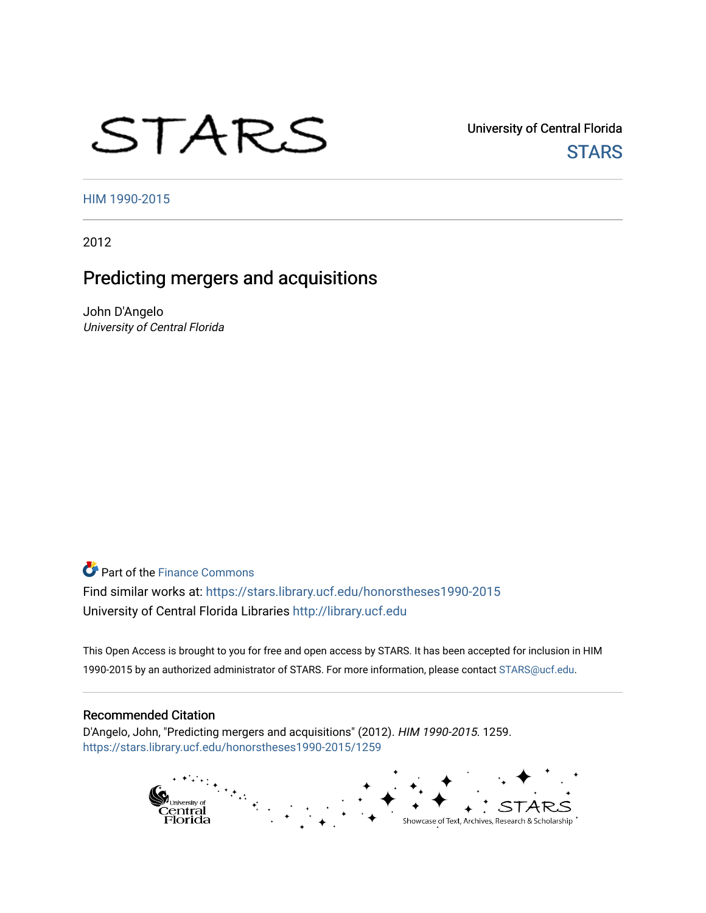# STARS

University of Central Florida **STARS** 

[HIM 1990-2015](https://stars.library.ucf.edu/honorstheses1990-2015) 

2012

# Predicting mergers and acquisitions

John D'Angelo University of Central Florida

**C**<sup> $\bullet$ </sup> Part of the Finance Commons Find similar works at: <https://stars.library.ucf.edu/honorstheses1990-2015> University of Central Florida Libraries [http://library.ucf.edu](http://library.ucf.edu/) 

This Open Access is brought to you for free and open access by STARS. It has been accepted for inclusion in HIM 1990-2015 by an authorized administrator of STARS. For more information, please contact [STARS@ucf.edu](mailto:STARS@ucf.edu).

#### Recommended Citation

D'Angelo, John, "Predicting mergers and acquisitions" (2012). HIM 1990-2015. 1259. [https://stars.library.ucf.edu/honorstheses1990-2015/1259](https://stars.library.ucf.edu/honorstheses1990-2015/1259?utm_source=stars.library.ucf.edu%2Fhonorstheses1990-2015%2F1259&utm_medium=PDF&utm_campaign=PDFCoverPages) 

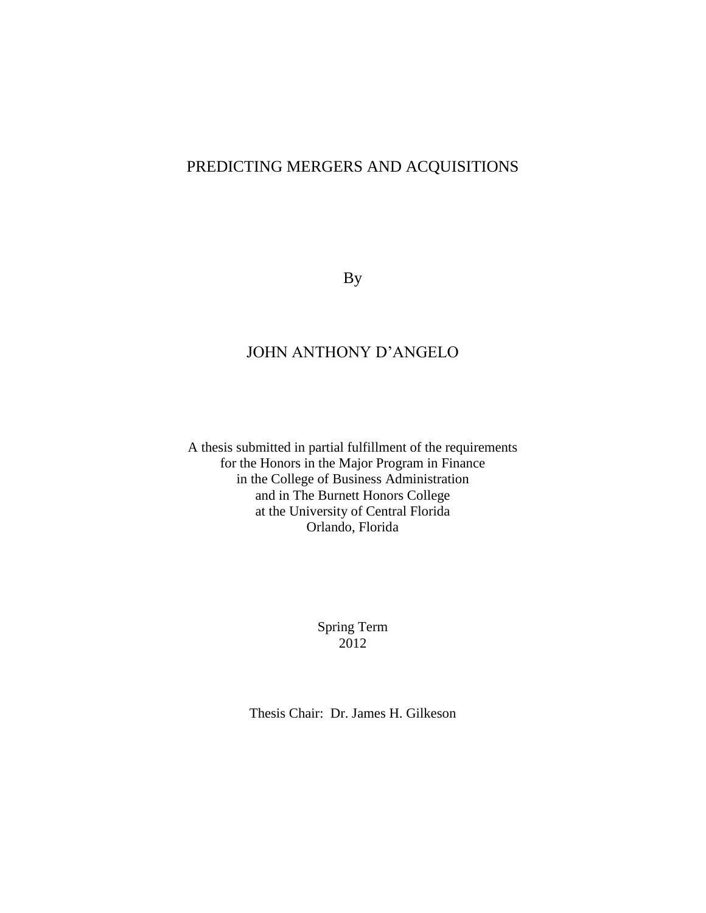# PREDICTING MERGERS AND ACQUISITIONS

By

# JOHN ANTHONY D'ANGELO

A thesis submitted in partial fulfillment of the requirements for the Honors in the Major Program in Finance in the College of Business Administration and in The Burnett Honors College at the University of Central Florida Orlando, Florida

> Spring Term 2012

Thesis Chair: Dr. James H. Gilkeson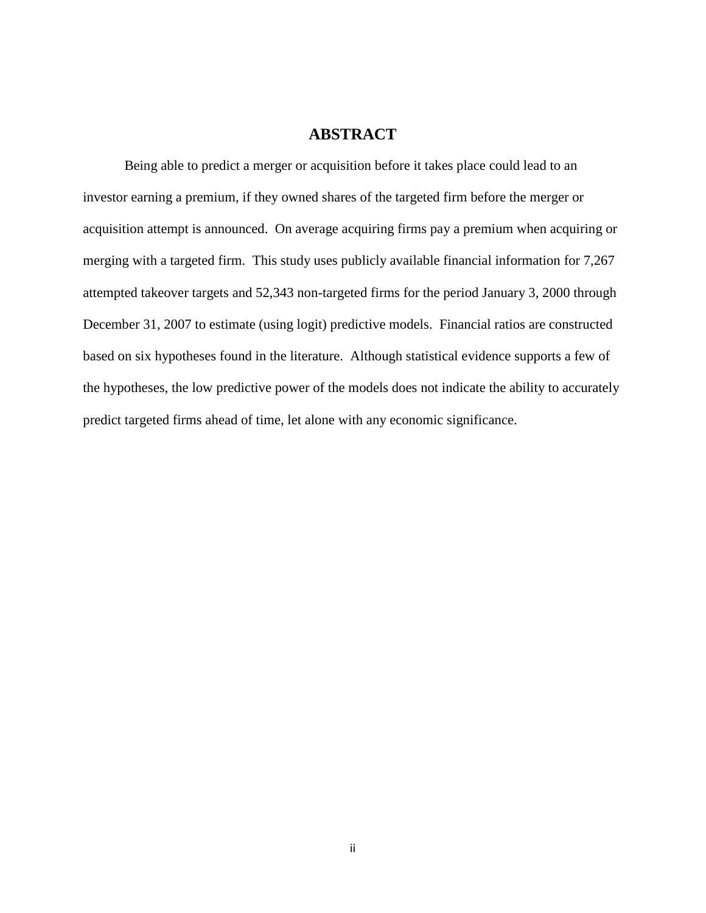## **ABSTRACT**

Being able to predict a merger or acquisition before it takes place could lead to an investor earning a premium, if they owned shares of the targeted firm before the merger or acquisition attempt is announced. On average acquiring firms pay a premium when acquiring or merging with a targeted firm. This study uses publicly available financial information for 7,267 attempted takeover targets and 52,343 non-targeted firms for the period January 3, 2000 through December 31, 2007 to estimate (using logit) predictive models. Financial ratios are constructed based on six hypotheses found in the literature. Although statistical evidence supports a few of the hypotheses, the low predictive power of the models does not indicate the ability to accurately predict targeted firms ahead of time, let alone with any economic significance.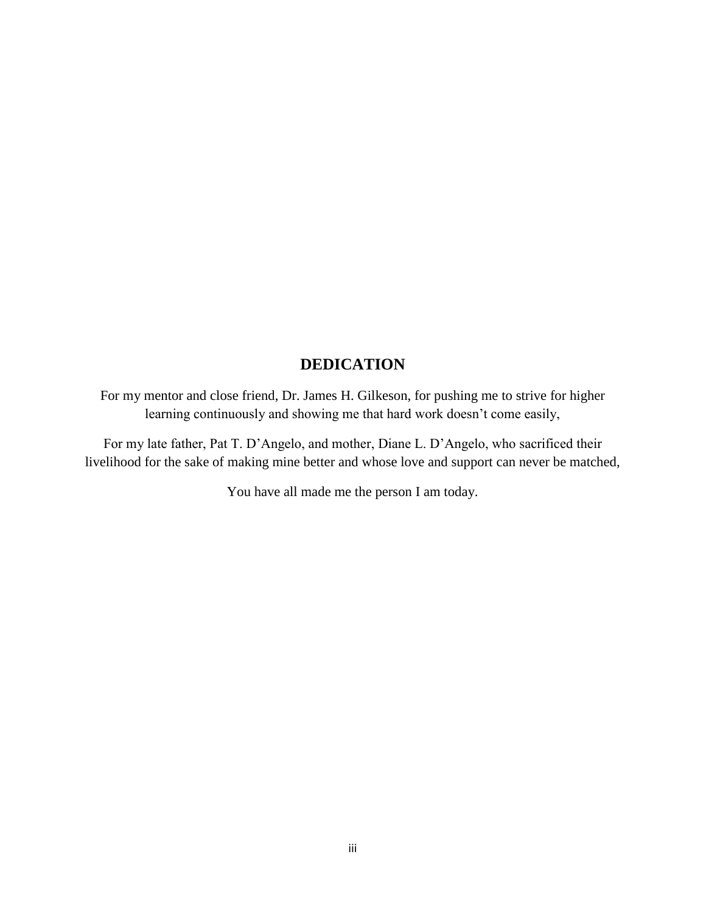# **DEDICATION**

For my mentor and close friend, Dr. James H. Gilkeson, for pushing me to strive for higher learning continuously and showing me that hard work doesn't come easily,

For my late father, Pat T. D'Angelo, and mother, Diane L. D'Angelo, who sacrificed their livelihood for the sake of making mine better and whose love and support can never be matched,

You have all made me the person I am today.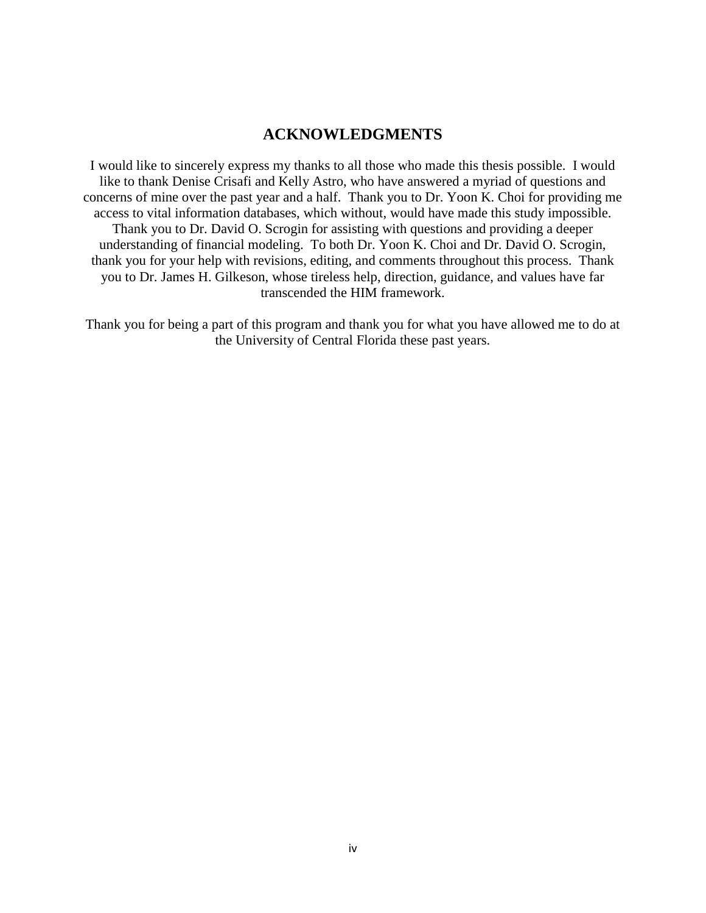## **ACKNOWLEDGMENTS**

I would like to sincerely express my thanks to all those who made this thesis possible. I would like to thank Denise Crisafi and Kelly Astro, who have answered a myriad of questions and concerns of mine over the past year and a half. Thank you to Dr. Yoon K. Choi for providing me access to vital information databases, which without, would have made this study impossible. Thank you to Dr. David O. Scrogin for assisting with questions and providing a deeper understanding of financial modeling. To both Dr. Yoon K. Choi and Dr. David O. Scrogin, thank you for your help with revisions, editing, and comments throughout this process. Thank you to Dr. James H. Gilkeson, whose tireless help, direction, guidance, and values have far transcended the HIM framework.

Thank you for being a part of this program and thank you for what you have allowed me to do at the University of Central Florida these past years.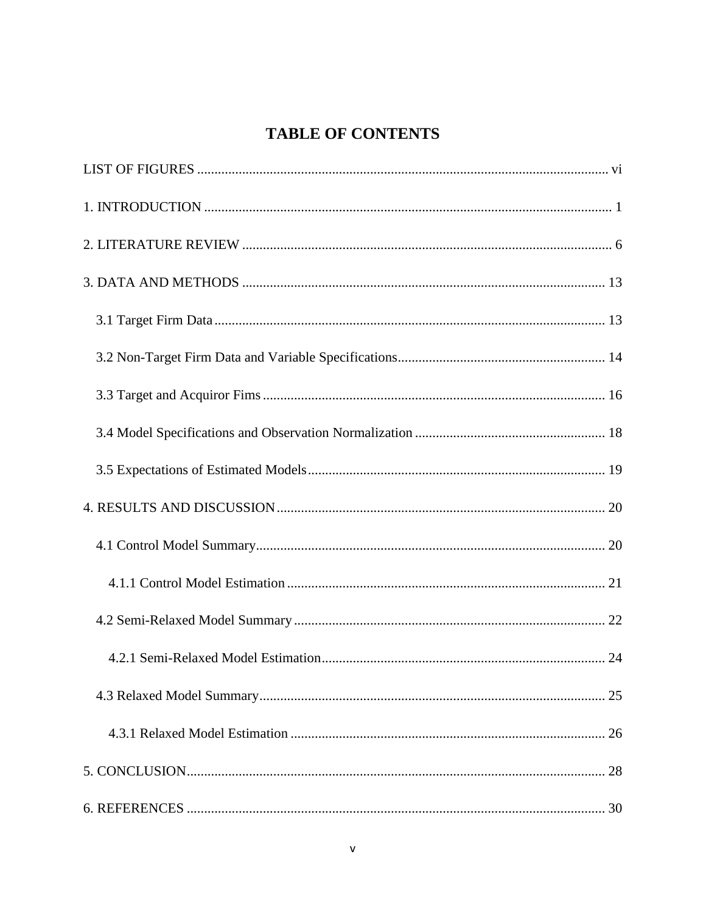# <span id="page-5-0"></span>**TABLE OF CONTENTS**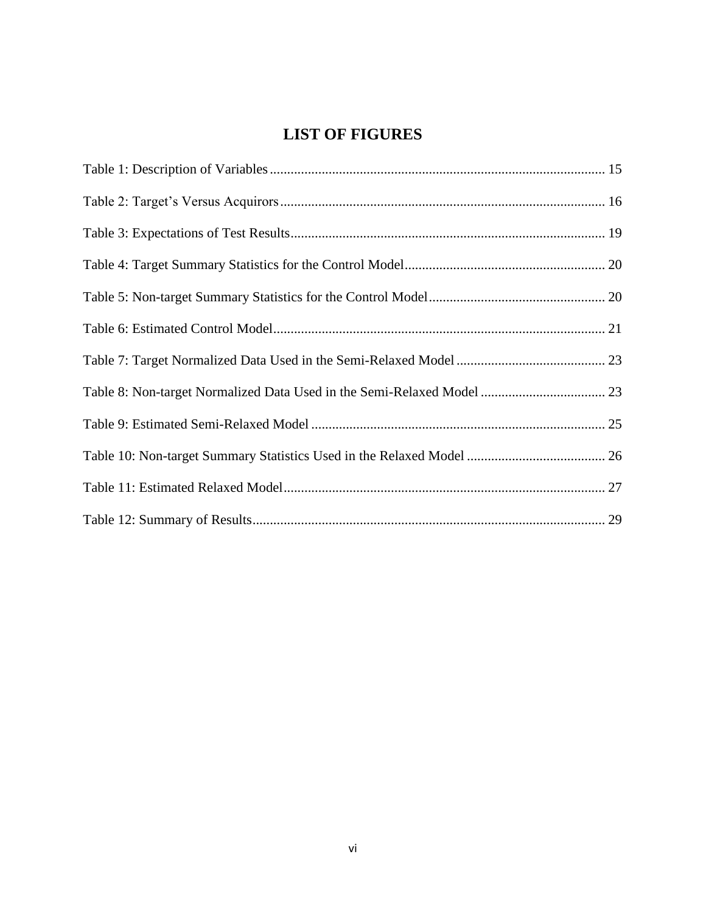# **LIST OF FIGURES**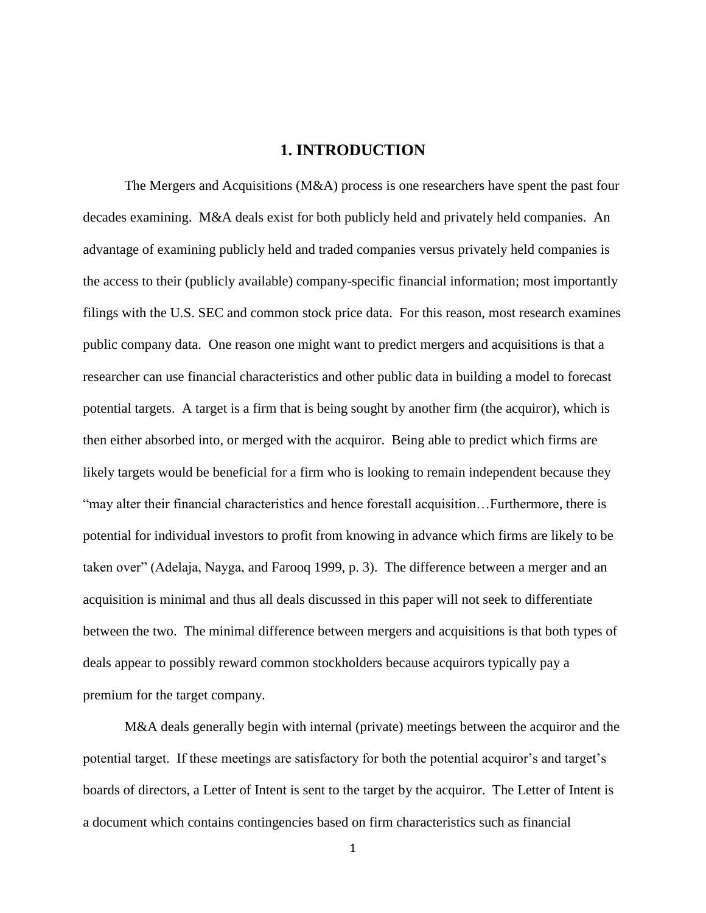## **1. INTRODUCTION**

<span id="page-7-0"></span>The Mergers and Acquisitions (M&A) process is one researchers have spent the past four decades examining. M&A deals exist for both publicly held and privately held companies. An advantage of examining publicly held and traded companies versus privately held companies is the access to their (publicly available) company-specific financial information; most importantly filings with the U.S. SEC and common stock price data. For this reason, most research examines public company data. One reason one might want to predict mergers and acquisitions is that a researcher can use financial characteristics and other public data in building a model to forecast potential targets. A target is a firm that is being sought by another firm (the acquiror), which is then either absorbed into, or merged with the acquiror. Being able to predict which firms are likely targets would be beneficial for a firm who is looking to remain independent because they ―may alter their financial characteristics and hence forestall acquisition…Furthermore, there is potential for individual investors to profit from knowing in advance which firms are likely to be taken over" (Adelaja, Nayga, and Farooq 1999, p. 3). The difference between a merger and an acquisition is minimal and thus all deals discussed in this paper will not seek to differentiate between the two. The minimal difference between mergers and acquisitions is that both types of deals appear to possibly reward common stockholders because acquirors typically pay a premium for the target company.

M&A deals generally begin with internal (private) meetings between the acquiror and the potential target. If these meetings are satisfactory for both the potential acquiror's and target's boards of directors, a Letter of Intent is sent to the target by the acquiror. The Letter of Intent is a document which contains contingencies based on firm characteristics such as financial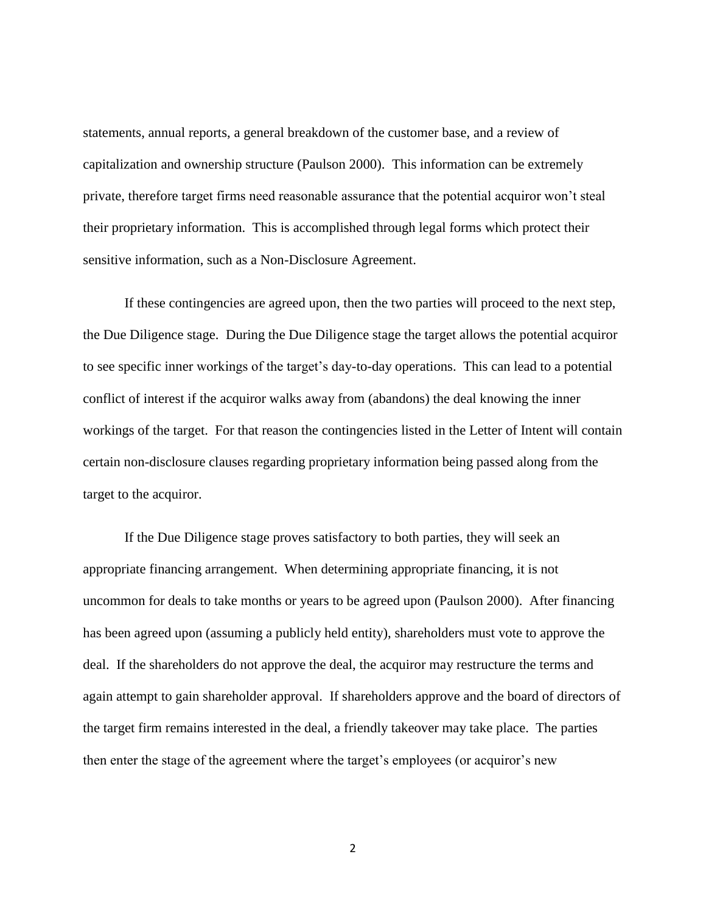statements, annual reports, a general breakdown of the customer base, and a review of capitalization and ownership structure (Paulson 2000). This information can be extremely private, therefore target firms need reasonable assurance that the potential acquiror won't steal their proprietary information. This is accomplished through legal forms which protect their sensitive information, such as a Non-Disclosure Agreement.

If these contingencies are agreed upon, then the two parties will proceed to the next step, the Due Diligence stage. During the Due Diligence stage the target allows the potential acquiror to see specific inner workings of the target's day-to-day operations. This can lead to a potential conflict of interest if the acquiror walks away from (abandons) the deal knowing the inner workings of the target. For that reason the contingencies listed in the Letter of Intent will contain certain non-disclosure clauses regarding proprietary information being passed along from the target to the acquiror.

If the Due Diligence stage proves satisfactory to both parties, they will seek an appropriate financing arrangement. When determining appropriate financing, it is not uncommon for deals to take months or years to be agreed upon (Paulson 2000). After financing has been agreed upon (assuming a publicly held entity), shareholders must vote to approve the deal. If the shareholders do not approve the deal, the acquiror may restructure the terms and again attempt to gain shareholder approval. If shareholders approve and the board of directors of the target firm remains interested in the deal, a friendly takeover may take place. The parties then enter the stage of the agreement where the target's employees (or acquiror's new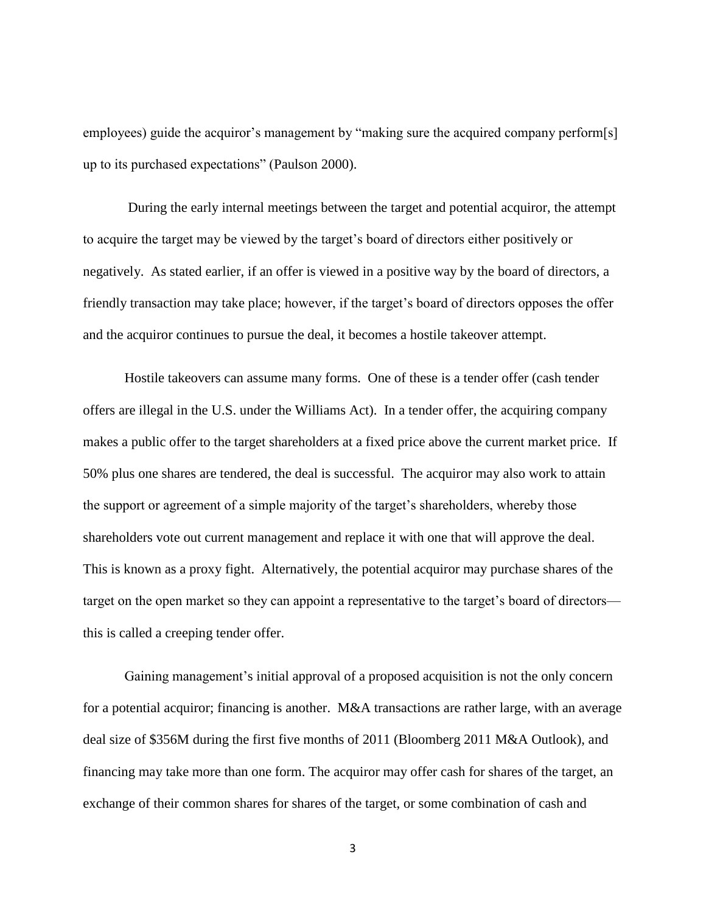employees) guide the acquiror's management by "making sure the acquired company perform[s] up to its purchased expectations" (Paulson 2000).

During the early internal meetings between the target and potential acquiror, the attempt to acquire the target may be viewed by the target's board of directors either positively or negatively. As stated earlier, if an offer is viewed in a positive way by the board of directors, a friendly transaction may take place; however, if the target's board of directors opposes the offer and the acquiror continues to pursue the deal, it becomes a hostile takeover attempt.

Hostile takeovers can assume many forms. One of these is a tender offer (cash tender offers are illegal in the U.S. under the Williams Act). In a tender offer, the acquiring company makes a public offer to the target shareholders at a fixed price above the current market price. If 50% plus one shares are tendered, the deal is successful. The acquiror may also work to attain the support or agreement of a simple majority of the target's shareholders, whereby those shareholders vote out current management and replace it with one that will approve the deal. This is known as a proxy fight. Alternatively, the potential acquiror may purchase shares of the target on the open market so they can appoint a representative to the target's board of directors this is called a creeping tender offer.

Gaining management's initial approval of a proposed acquisition is not the only concern for a potential acquiror; financing is another. M&A transactions are rather large, with an average deal size of \$356M during the first five months of 2011 (Bloomberg 2011 M&A Outlook), and financing may take more than one form. The acquiror may offer cash for shares of the target, an exchange of their common shares for shares of the target, or some combination of cash and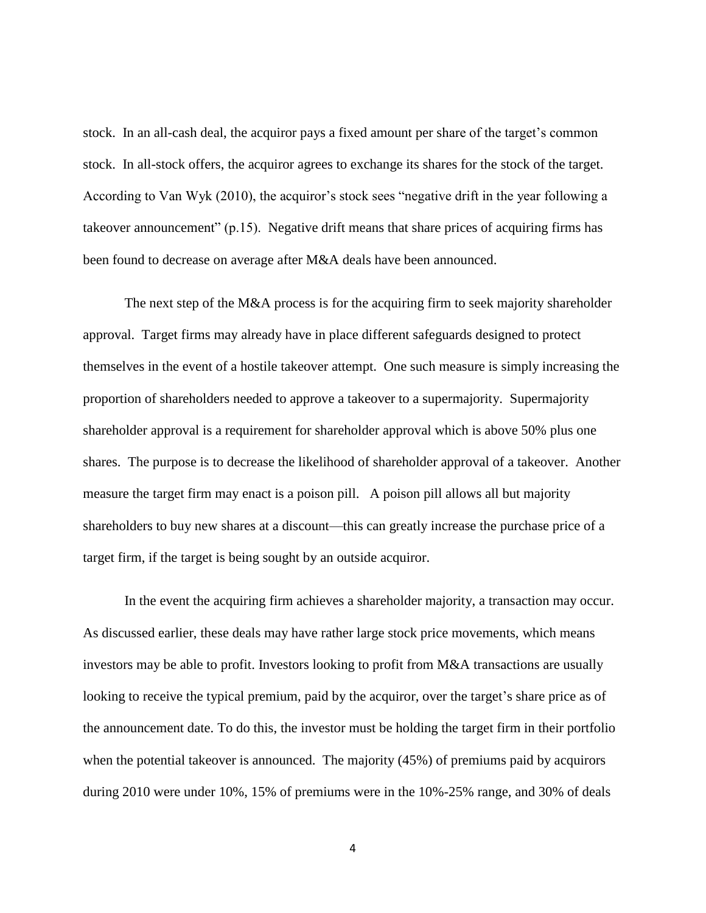stock. In an all-cash deal, the acquiror pays a fixed amount per share of the target's common stock. In all-stock offers, the acquiror agrees to exchange its shares for the stock of the target. According to Van Wyk (2010), the acquiror's stock sees "negative drift in the year following a takeover announcement"  $(p.15)$ . Negative drift means that share prices of acquiring firms has been found to decrease on average after M&A deals have been announced.

The next step of the M&A process is for the acquiring firm to seek majority shareholder approval. Target firms may already have in place different safeguards designed to protect themselves in the event of a hostile takeover attempt. One such measure is simply increasing the proportion of shareholders needed to approve a takeover to a supermajority. Supermajority shareholder approval is a requirement for shareholder approval which is above 50% plus one shares. The purpose is to decrease the likelihood of shareholder approval of a takeover. Another measure the target firm may enact is a poison pill. A poison pill allows all but majority shareholders to buy new shares at a discount—this can greatly increase the purchase price of a target firm, if the target is being sought by an outside acquiror.

In the event the acquiring firm achieves a shareholder majority, a transaction may occur. As discussed earlier, these deals may have rather large stock price movements, which means investors may be able to profit. Investors looking to profit from M&A transactions are usually looking to receive the typical premium, paid by the acquiror, over the target's share price as of the announcement date. To do this, the investor must be holding the target firm in their portfolio when the potential takeover is announced. The majority (45%) of premiums paid by acquirors during 2010 were under 10%, 15% of premiums were in the 10%-25% range, and 30% of deals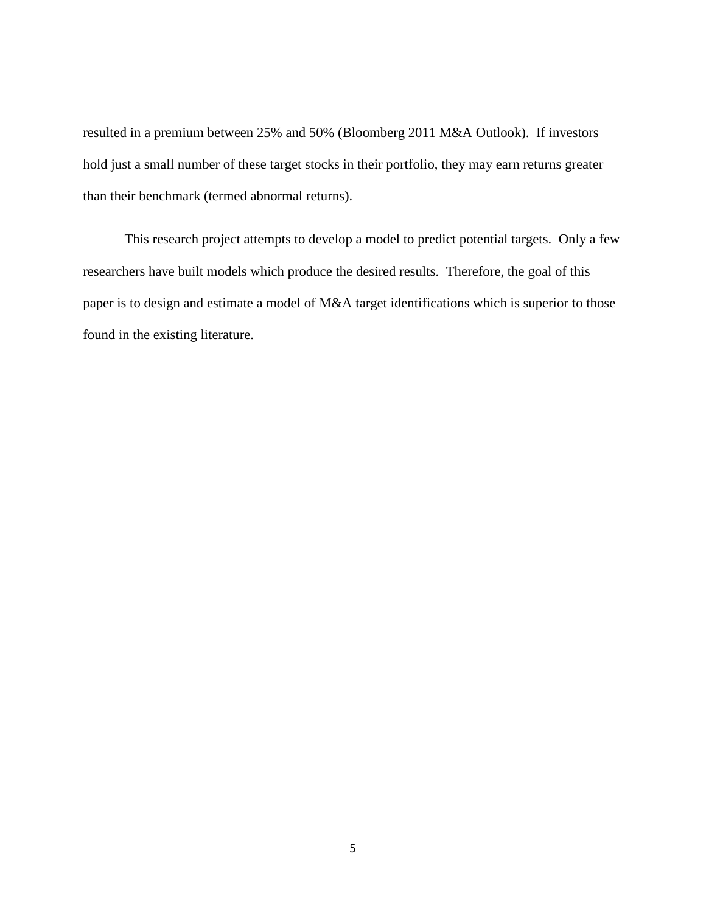resulted in a premium between 25% and 50% (Bloomberg 2011 M&A Outlook). If investors hold just a small number of these target stocks in their portfolio, they may earn returns greater than their benchmark (termed abnormal returns).

This research project attempts to develop a model to predict potential targets. Only a few researchers have built models which produce the desired results. Therefore, the goal of this paper is to design and estimate a model of M&A target identifications which is superior to those found in the existing literature.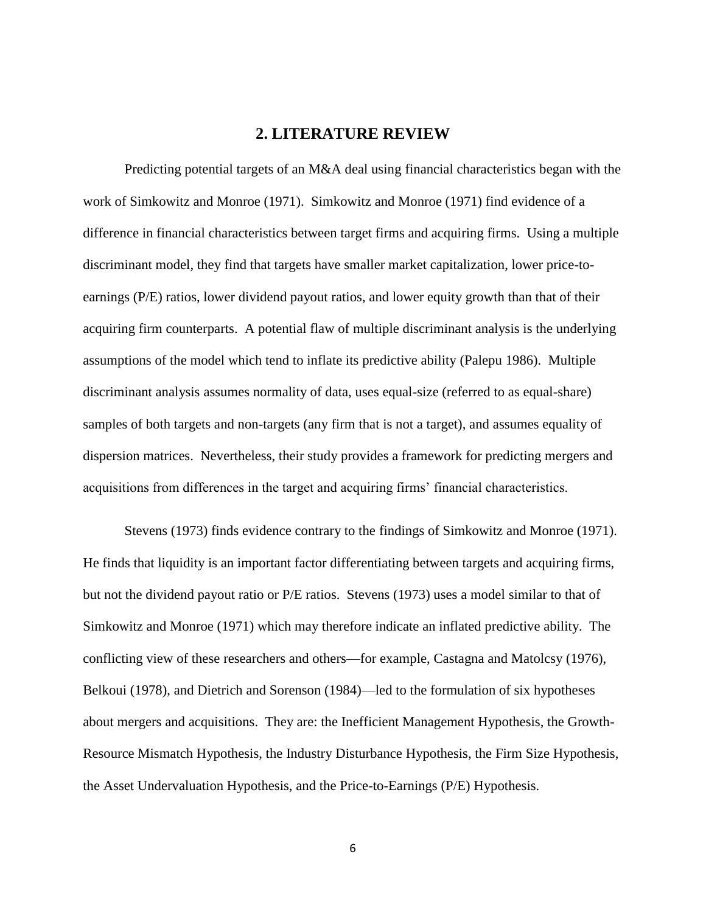## **2. LITERATURE REVIEW**

<span id="page-12-0"></span>Predicting potential targets of an M&A deal using financial characteristics began with the work of Simkowitz and Monroe (1971). Simkowitz and Monroe (1971) find evidence of a difference in financial characteristics between target firms and acquiring firms. Using a multiple discriminant model, they find that targets have smaller market capitalization, lower price-toearnings (P/E) ratios, lower dividend payout ratios, and lower equity growth than that of their acquiring firm counterparts. A potential flaw of multiple discriminant analysis is the underlying assumptions of the model which tend to inflate its predictive ability (Palepu 1986). Multiple discriminant analysis assumes normality of data, uses equal-size (referred to as equal-share) samples of both targets and non-targets (any firm that is not a target), and assumes equality of dispersion matrices. Nevertheless, their study provides a framework for predicting mergers and acquisitions from differences in the target and acquiring firms' financial characteristics.

Stevens (1973) finds evidence contrary to the findings of Simkowitz and Monroe (1971). He finds that liquidity is an important factor differentiating between targets and acquiring firms, but not the dividend payout ratio or P/E ratios. Stevens (1973) uses a model similar to that of Simkowitz and Monroe (1971) which may therefore indicate an inflated predictive ability. The conflicting view of these researchers and others—for example, Castagna and Matolcsy (1976), Belkoui (1978), and Dietrich and Sorenson (1984)—led to the formulation of six hypotheses about mergers and acquisitions. They are: the Inefficient Management Hypothesis, the Growth-Resource Mismatch Hypothesis, the Industry Disturbance Hypothesis, the Firm Size Hypothesis, the Asset Undervaluation Hypothesis, and the Price-to-Earnings (P/E) Hypothesis.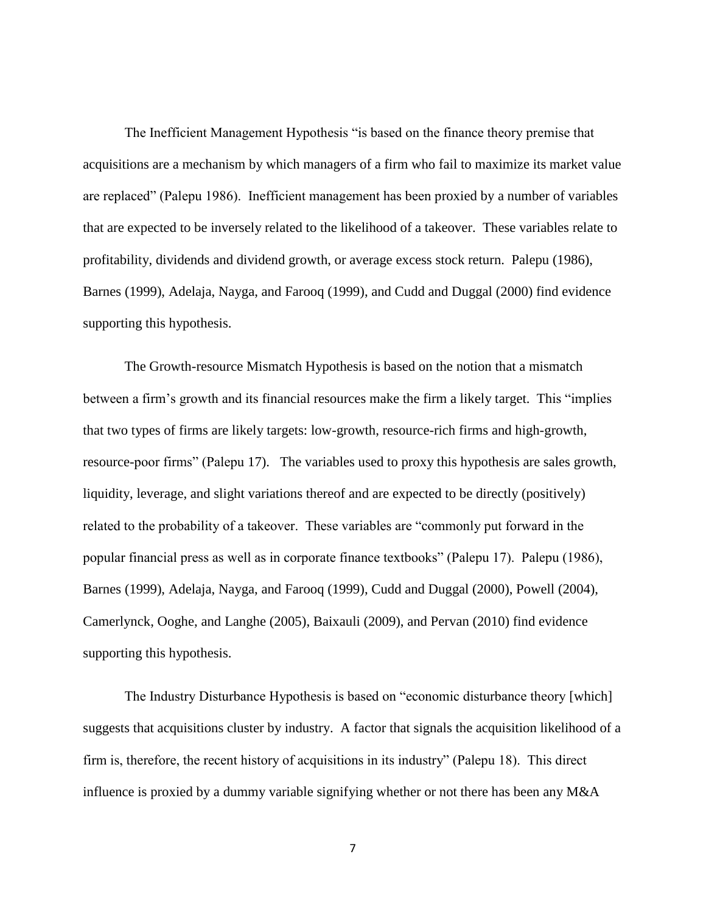The Inefficient Management Hypothesis "is based on the finance theory premise that acquisitions are a mechanism by which managers of a firm who fail to maximize its market value are replaced" (Palepu 1986). Inefficient management has been proxied by a number of variables that are expected to be inversely related to the likelihood of a takeover. These variables relate to profitability, dividends and dividend growth, or average excess stock return. Palepu (1986), Barnes (1999), Adelaja, Nayga, and Farooq (1999), and Cudd and Duggal (2000) find evidence supporting this hypothesis.

The Growth-resource Mismatch Hypothesis is based on the notion that a mismatch between a firm's growth and its financial resources make the firm a likely target. This "implies" that two types of firms are likely targets: low-growth, resource-rich firms and high-growth, resource-poor firms" (Palepu 17). The variables used to proxy this hypothesis are sales growth, liquidity, leverage, and slight variations thereof and are expected to be directly (positively) related to the probability of a takeover. These variables are "commonly put forward in the popular financial press as well as in corporate finance textbooks" (Palepu 17). Palepu (1986), Barnes (1999), Adelaja, Nayga, and Farooq (1999), Cudd and Duggal (2000), Powell (2004), Camerlynck, Ooghe, and Langhe (2005), Baixauli (2009), and Pervan (2010) find evidence supporting this hypothesis.

The Industry Disturbance Hypothesis is based on "economic disturbance theory [which] suggests that acquisitions cluster by industry. A factor that signals the acquisition likelihood of a firm is, therefore, the recent history of acquisitions in its industry" (Palepu 18). This direct influence is proxied by a dummy variable signifying whether or not there has been any M&A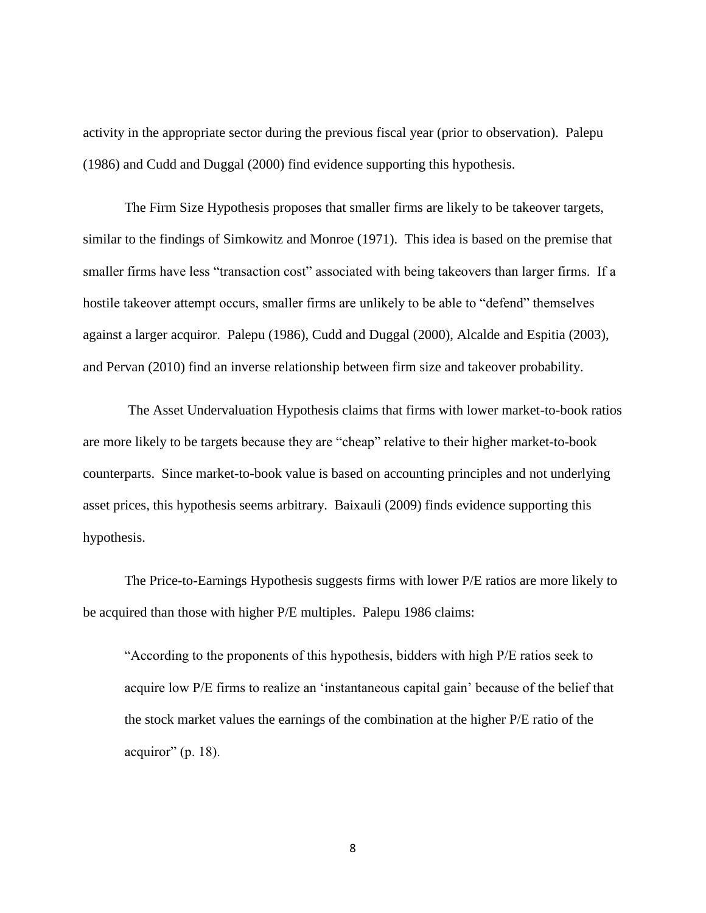activity in the appropriate sector during the previous fiscal year (prior to observation). Palepu (1986) and Cudd and Duggal (2000) find evidence supporting this hypothesis.

The Firm Size Hypothesis proposes that smaller firms are likely to be takeover targets, similar to the findings of Simkowitz and Monroe (1971). This idea is based on the premise that smaller firms have less "transaction cost" associated with being takeovers than larger firms. If a hostile takeover attempt occurs, smaller firms are unlikely to be able to "defend" themselves against a larger acquiror. Palepu (1986), Cudd and Duggal (2000), Alcalde and Espitia (2003), and Pervan (2010) find an inverse relationship between firm size and takeover probability.

The Asset Undervaluation Hypothesis claims that firms with lower market-to-book ratios are more likely to be targets because they are "cheap" relative to their higher market-to-book counterparts. Since market-to-book value is based on accounting principles and not underlying asset prices, this hypothesis seems arbitrary. Baixauli (2009) finds evidence supporting this hypothesis.

The Price-to-Earnings Hypothesis suggests firms with lower P/E ratios are more likely to be acquired than those with higher P/E multiples. Palepu 1986 claims:

―According to the proponents of this hypothesis, bidders with high P/E ratios seek to acquire low P/E firms to realize an 'instantaneous capital gain' because of the belief that the stock market values the earnings of the combination at the higher P/E ratio of the acquiror" (p. 18).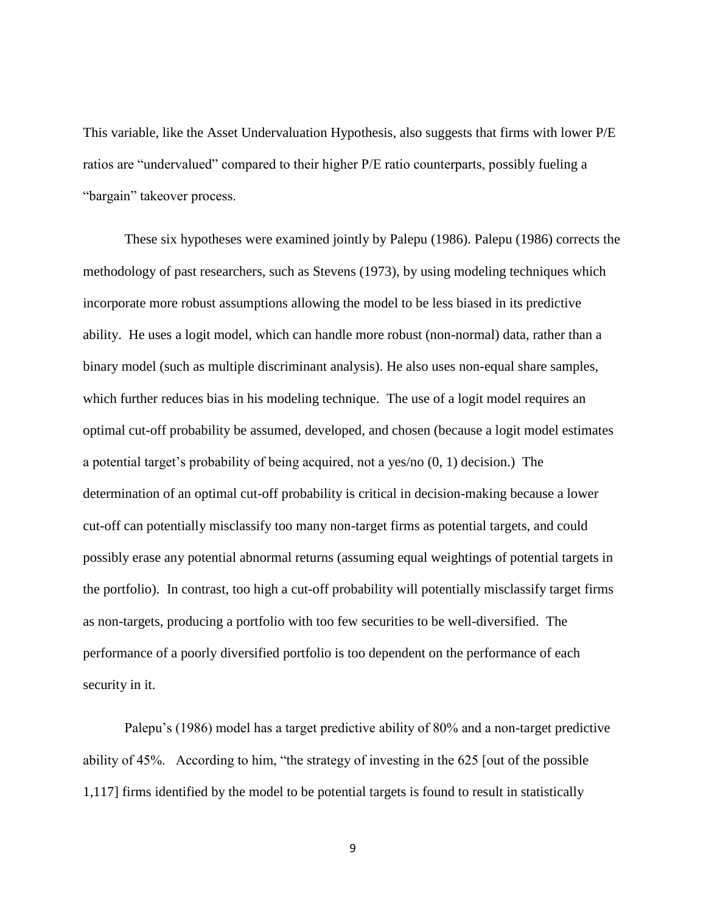This variable, like the Asset Undervaluation Hypothesis, also suggests that firms with lower P/E ratios are "undervalued" compared to their higher P/E ratio counterparts, possibly fueling a "bargain" takeover process.

These six hypotheses were examined jointly by Palepu (1986). Palepu (1986) corrects the methodology of past researchers, such as Stevens (1973), by using modeling techniques which incorporate more robust assumptions allowing the model to be less biased in its predictive ability. He uses a logit model, which can handle more robust (non-normal) data, rather than a binary model (such as multiple discriminant analysis). He also uses non-equal share samples, which further reduces bias in his modeling technique. The use of a logit model requires an optimal cut-off probability be assumed, developed, and chosen (because a logit model estimates a potential target's probability of being acquired, not a yes/no (0, 1) decision.) The determination of an optimal cut-off probability is critical in decision-making because a lower cut-off can potentially misclassify too many non-target firms as potential targets, and could possibly erase any potential abnormal returns (assuming equal weightings of potential targets in the portfolio). In contrast, too high a cut-off probability will potentially misclassify target firms as non-targets, producing a portfolio with too few securities to be well-diversified. The performance of a poorly diversified portfolio is too dependent on the performance of each security in it.

Palepu's (1986) model has a target predictive ability of 80% and a non-target predictive ability of  $45\%$ . According to him, "the strategy of investing in the 625 [out of the possible 1,117] firms identified by the model to be potential targets is found to result in statistically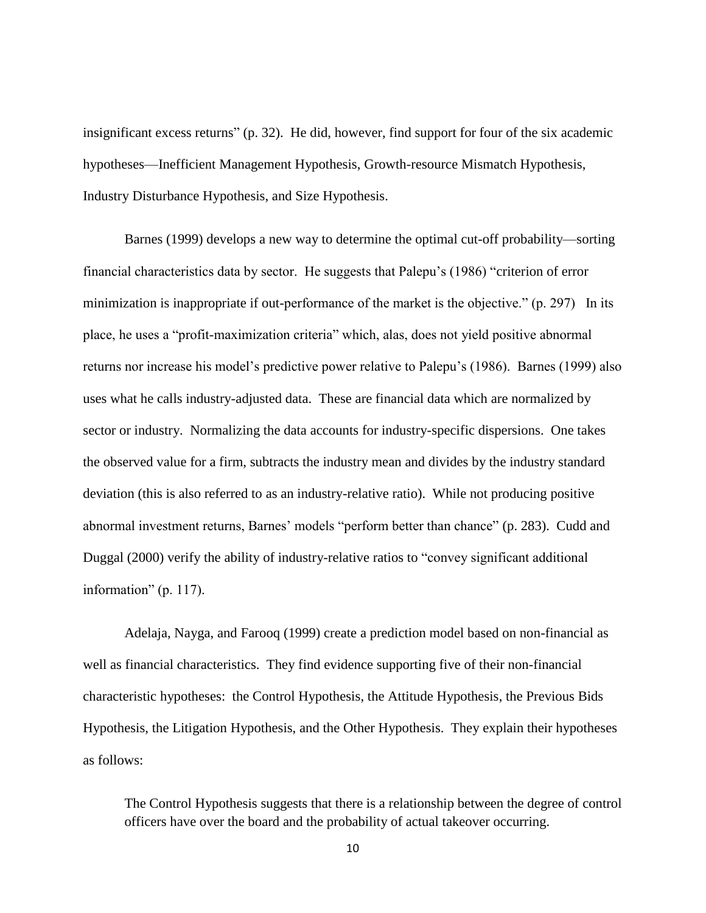insignificant excess returns" (p. 32). He did, however, find support for four of the six academic hypotheses—Inefficient Management Hypothesis, Growth-resource Mismatch Hypothesis, Industry Disturbance Hypothesis, and Size Hypothesis.

Barnes (1999) develops a new way to determine the optimal cut-off probability—sorting financial characteristics data by sector. He suggests that Palepu's (1986) "criterion of error minimization is inappropriate if out-performance of the market is the objective."  $(p. 297)$  In its place, he uses a "profit-maximization criteria" which, alas, does not yield positive abnormal returns nor increase his model's predictive power relative to Palepu's (1986). Barnes (1999) also uses what he calls industry-adjusted data. These are financial data which are normalized by sector or industry. Normalizing the data accounts for industry-specific dispersions. One takes the observed value for a firm, subtracts the industry mean and divides by the industry standard deviation (this is also referred to as an industry-relative ratio). While not producing positive abnormal investment returns, Barnes' models "perform better than chance" (p. 283). Cudd and Duggal (2000) verify the ability of industry-relative ratios to "convey significant additional information" (p. 117).

Adelaja, Nayga, and Farooq (1999) create a prediction model based on non-financial as well as financial characteristics. They find evidence supporting five of their non-financial characteristic hypotheses: the Control Hypothesis, the Attitude Hypothesis, the Previous Bids Hypothesis, the Litigation Hypothesis, and the Other Hypothesis. They explain their hypotheses as follows:

The Control Hypothesis suggests that there is a relationship between the degree of control officers have over the board and the probability of actual takeover occurring.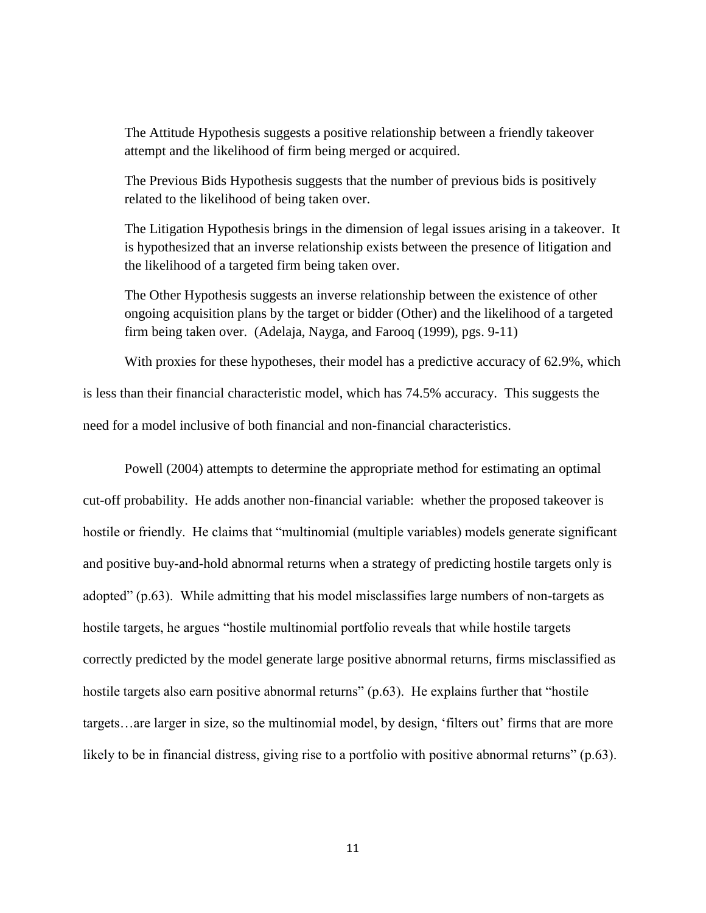The Attitude Hypothesis suggests a positive relationship between a friendly takeover attempt and the likelihood of firm being merged or acquired.

The Previous Bids Hypothesis suggests that the number of previous bids is positively related to the likelihood of being taken over.

The Litigation Hypothesis brings in the dimension of legal issues arising in a takeover. It is hypothesized that an inverse relationship exists between the presence of litigation and the likelihood of a targeted firm being taken over.

The Other Hypothesis suggests an inverse relationship between the existence of other ongoing acquisition plans by the target or bidder (Other) and the likelihood of a targeted firm being taken over. (Adelaja, Nayga, and Farooq (1999), pgs. 9-11)

With proxies for these hypotheses, their model has a predictive accuracy of 62.9%, which is less than their financial characteristic model, which has 74.5% accuracy. This suggests the need for a model inclusive of both financial and non-financial characteristics.

Powell (2004) attempts to determine the appropriate method for estimating an optimal cut-off probability. He adds another non-financial variable: whether the proposed takeover is hostile or friendly. He claims that "multinomial (multiple variables) models generate significant and positive buy-and-hold abnormal returns when a strategy of predicting hostile targets only is adopted" (p.63). While admitting that his model misclassifies large numbers of non-targets as hostile targets, he argues "hostile multinomial portfolio reveals that while hostile targets correctly predicted by the model generate large positive abnormal returns, firms misclassified as hostile targets also earn positive abnormal returns"  $(p.63)$ . He explains further that "hostile" targets…are larger in size, so the multinomial model, by design, ‗filters out' firms that are more likely to be in financial distress, giving rise to a portfolio with positive abnormal returns"  $(p.63)$ .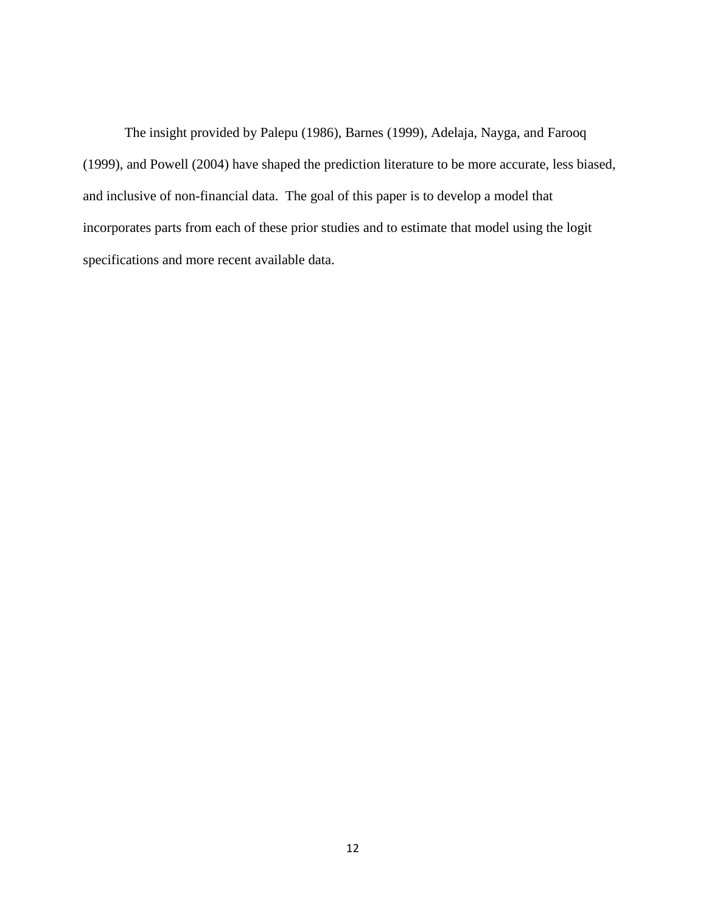The insight provided by Palepu (1986), Barnes (1999), Adelaja, Nayga, and Farooq (1999), and Powell (2004) have shaped the prediction literature to be more accurate, less biased, and inclusive of non-financial data. The goal of this paper is to develop a model that incorporates parts from each of these prior studies and to estimate that model using the logit specifications and more recent available data.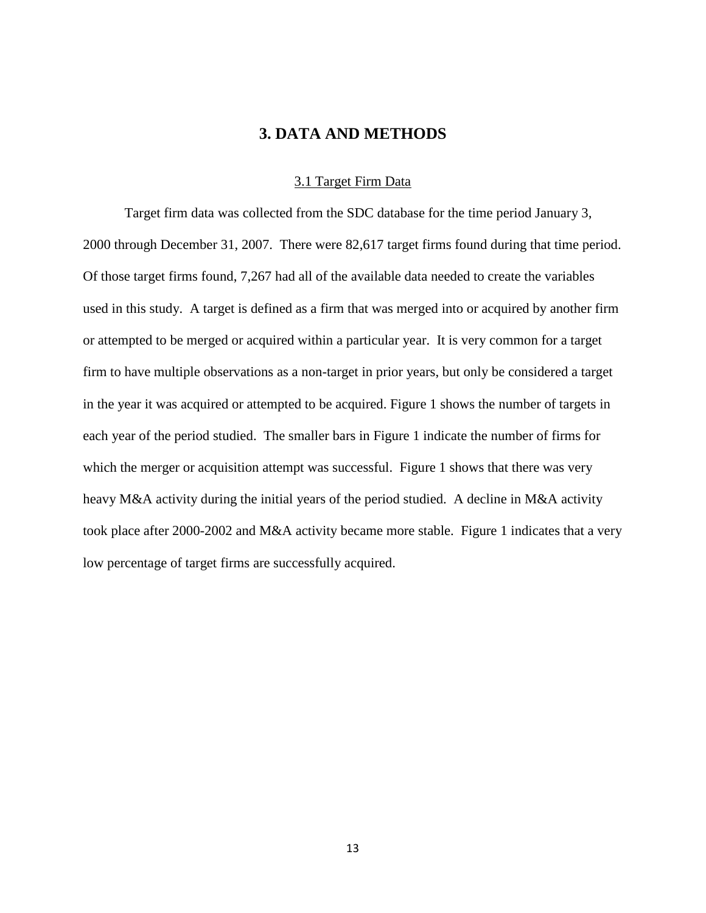# **3. DATA AND METHODS**

#### 3.1 Target Firm Data

<span id="page-19-1"></span><span id="page-19-0"></span>Target firm data was collected from the SDC database for the time period January 3, 2000 through December 31, 2007. There were 82,617 target firms found during that time period. Of those target firms found, 7,267 had all of the available data needed to create the variables used in this study. A target is defined as a firm that was merged into or acquired by another firm or attempted to be merged or acquired within a particular year. It is very common for a target firm to have multiple observations as a non-target in prior years, but only be considered a target in the year it was acquired or attempted to be acquired. Figure 1 shows the number of targets in each year of the period studied. The smaller bars in Figure 1 indicate the number of firms for which the merger or acquisition attempt was successful. Figure 1 shows that there was very heavy M&A activity during the initial years of the period studied. A decline in M&A activity took place after 2000-2002 and M&A activity became more stable. Figure 1 indicates that a very low percentage of target firms are successfully acquired.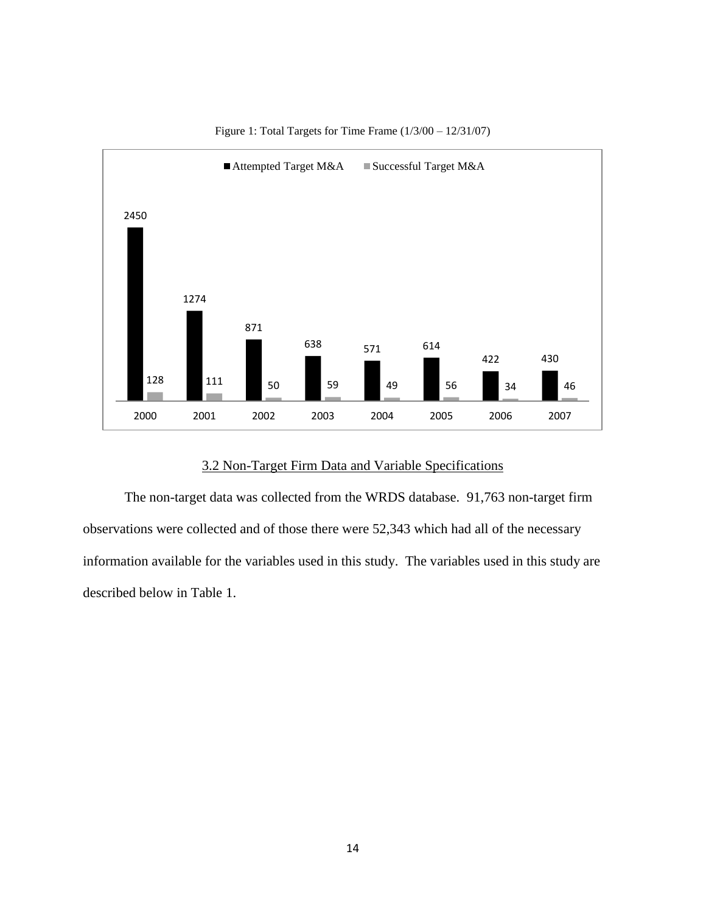

Figure 1: Total Targets for Time Frame (1/3/00 – 12/31/07)

# 3.2 Non-Target Firm Data and Variable Specifications

<span id="page-20-0"></span>The non-target data was collected from the WRDS database. 91,763 non-target firm observations were collected and of those there were 52,343 which had all of the necessary information available for the variables used in this study. The variables used in this study are described below in Table 1.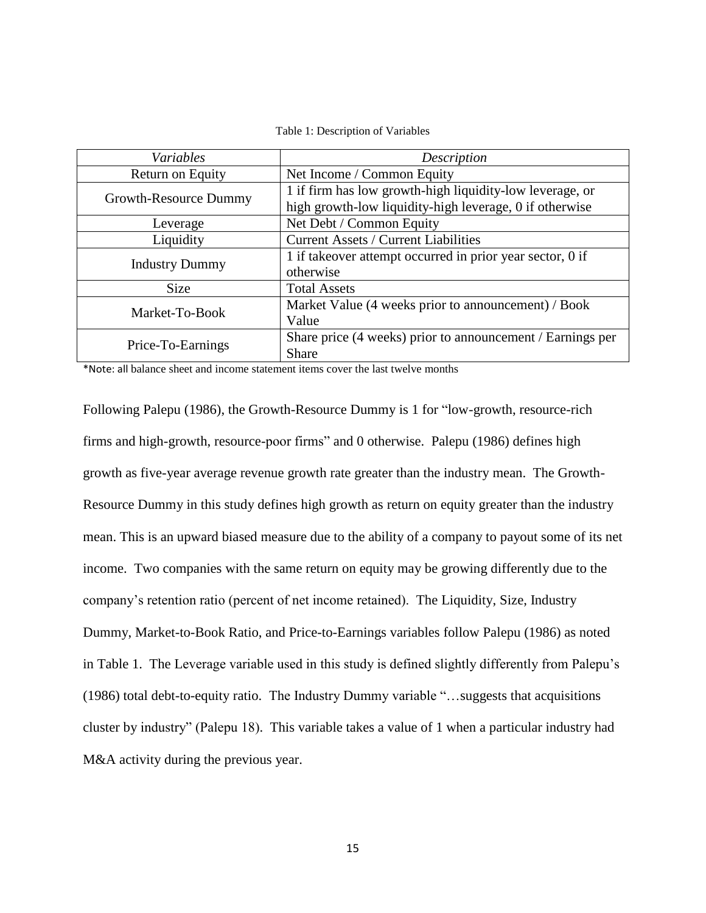<span id="page-21-0"></span>

| Variables             | Description                                                |  |  |
|-----------------------|------------------------------------------------------------|--|--|
| Return on Equity      | Net Income / Common Equity                                 |  |  |
| Growth-Resource Dummy | 1 if firm has low growth-high liquidity-low leverage, or   |  |  |
|                       | high growth-low liquidity-high leverage, 0 if otherwise    |  |  |
| Leverage              | Net Debt / Common Equity                                   |  |  |
| Liquidity             | <b>Current Assets / Current Liabilities</b>                |  |  |
| <b>Industry Dummy</b> | 1 if takeover attempt occurred in prior year sector, 0 if  |  |  |
|                       | otherwise                                                  |  |  |
| <b>Size</b>           | <b>Total Assets</b>                                        |  |  |
| Market-To-Book        | Market Value (4 weeks prior to announcement) / Book        |  |  |
|                       | Value                                                      |  |  |
| Price-To-Earnings     | Share price (4 weeks) prior to announcement / Earnings per |  |  |
|                       | <b>Share</b>                                               |  |  |

Table 1: Description of Variables

\*Note: all balance sheet and income statement items cover the last twelve months

Following Palepu (1986), the Growth-Resource Dummy is 1 for "low-growth, resource-rich firms and high-growth, resource-poor firms" and 0 otherwise. Palepu (1986) defines high growth as five-year average revenue growth rate greater than the industry mean. The Growth-Resource Dummy in this study defines high growth as return on equity greater than the industry mean. This is an upward biased measure due to the ability of a company to payout some of its net income. Two companies with the same return on equity may be growing differently due to the company's retention ratio (percent of net income retained). The Liquidity, Size, Industry Dummy, Market-to-Book Ratio, and Price-to-Earnings variables follow Palepu (1986) as noted in Table 1. The Leverage variable used in this study is defined slightly differently from Palepu's (1986) total debt-to-equity ratio. The Industry Dummy variable "...suggests that acquisitions cluster by industry‖ (Palepu 18). This variable takes a value of 1 when a particular industry had M&A activity during the previous year.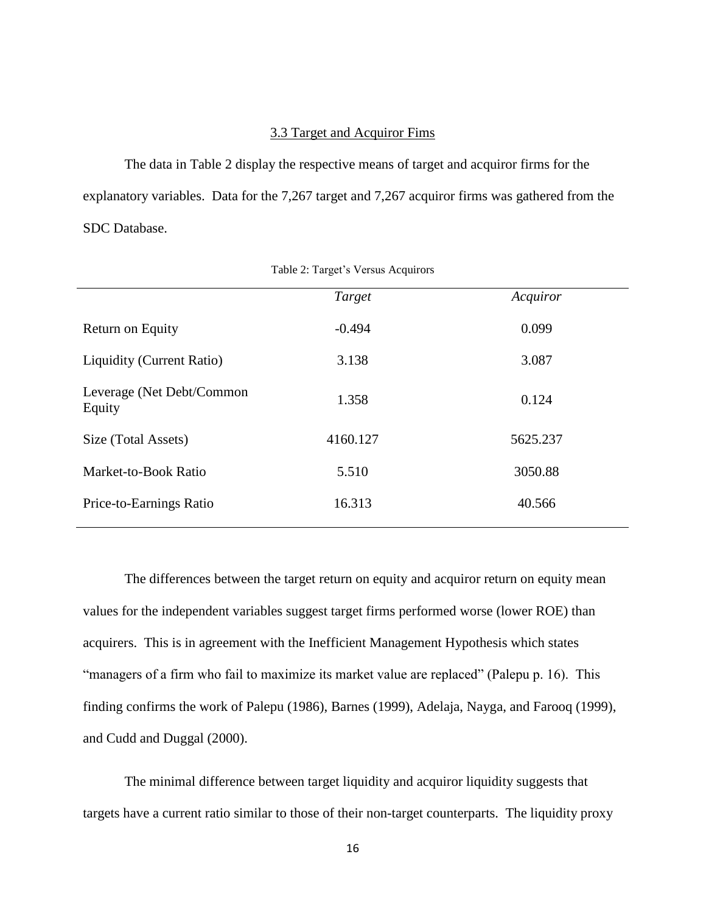#### 3.3 Target and Acquiror Fims

<span id="page-22-0"></span>The data in Table 2 display the respective means of target and acquiror firms for the explanatory variables. Data for the 7,267 target and 7,267 acquiror firms was gathered from the SDC Database.

<span id="page-22-1"></span>

|                                     | Target   | Acquiror |  |
|-------------------------------------|----------|----------|--|
| Return on Equity                    | $-0.494$ | 0.099    |  |
| <b>Liquidity (Current Ratio)</b>    | 3.138    | 3.087    |  |
| Leverage (Net Debt/Common<br>Equity | 1.358    | 0.124    |  |
| Size (Total Assets)                 | 4160.127 | 5625.237 |  |
| Market-to-Book Ratio                | 5.510    | 3050.88  |  |
| Price-to-Earnings Ratio             | 16.313   | 40.566   |  |
|                                     |          |          |  |

Table 2: Target's Versus Acquirors

The differences between the target return on equity and acquiror return on equity mean values for the independent variables suggest target firms performed worse (lower ROE) than acquirers. This is in agreement with the Inefficient Management Hypothesis which states "managers of a firm who fail to maximize its market value are replaced" (Palepu p. 16). This finding confirms the work of Palepu (1986), Barnes (1999), Adelaja, Nayga, and Farooq (1999), and Cudd and Duggal (2000).

The minimal difference between target liquidity and acquiror liquidity suggests that targets have a current ratio similar to those of their non-target counterparts. The liquidity proxy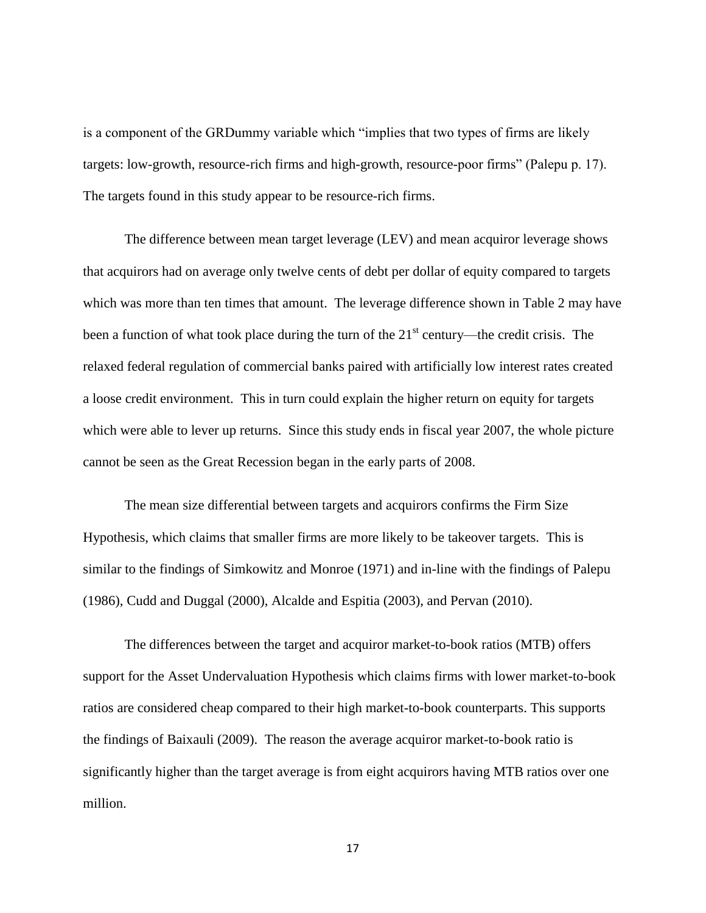is a component of the GRDummy variable which "implies that two types of firms are likely targets: low-growth, resource-rich firms and high-growth, resource-poor firms" (Palepu p. 17). The targets found in this study appear to be resource-rich firms.

The difference between mean target leverage (LEV) and mean acquiror leverage shows that acquirors had on average only twelve cents of debt per dollar of equity compared to targets which was more than ten times that amount. The leverage difference shown in Table 2 may have been a function of what took place during the turn of the  $21<sup>st</sup>$  century—the credit crisis. The relaxed federal regulation of commercial banks paired with artificially low interest rates created a loose credit environment. This in turn could explain the higher return on equity for targets which were able to lever up returns. Since this study ends in fiscal year 2007, the whole picture cannot be seen as the Great Recession began in the early parts of 2008.

The mean size differential between targets and acquirors confirms the Firm Size Hypothesis, which claims that smaller firms are more likely to be takeover targets. This is similar to the findings of Simkowitz and Monroe (1971) and in-line with the findings of Palepu (1986), Cudd and Duggal (2000), Alcalde and Espitia (2003), and Pervan (2010).

The differences between the target and acquiror market-to-book ratios (MTB) offers support for the Asset Undervaluation Hypothesis which claims firms with lower market-to-book ratios are considered cheap compared to their high market-to-book counterparts. This supports the findings of Baixauli (2009). The reason the average acquiror market-to-book ratio is significantly higher than the target average is from eight acquirors having MTB ratios over one million.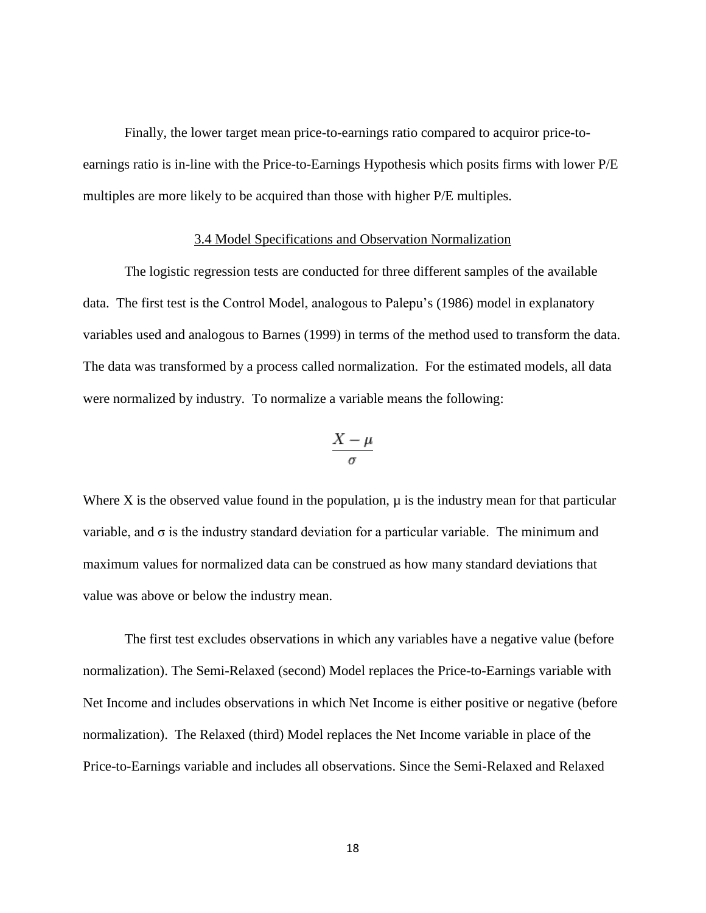Finally, the lower target mean price-to-earnings ratio compared to acquiror price-toearnings ratio is in-line with the Price-to-Earnings Hypothesis which posits firms with lower P/E multiples are more likely to be acquired than those with higher P/E multiples.

#### 3.4 Model Specifications and Observation Normalization

<span id="page-24-0"></span>The logistic regression tests are conducted for three different samples of the available data. The first test is the Control Model, analogous to Palepu's (1986) model in explanatory variables used and analogous to Barnes (1999) in terms of the method used to transform the data. The data was transformed by a process called normalization. For the estimated models, all data were normalized by industry. To normalize a variable means the following:

$$
\frac{X-\mu}{\sigma}
$$

Where X is the observed value found in the population,  $\mu$  is the industry mean for that particular variable, and σ is the industry standard deviation for a particular variable. The minimum and maximum values for normalized data can be construed as how many standard deviations that value was above or below the industry mean.

The first test excludes observations in which any variables have a negative value (before normalization). The Semi-Relaxed (second) Model replaces the Price-to-Earnings variable with Net Income and includes observations in which Net Income is either positive or negative (before normalization). The Relaxed (third) Model replaces the Net Income variable in place of the Price-to-Earnings variable and includes all observations. Since the Semi-Relaxed and Relaxed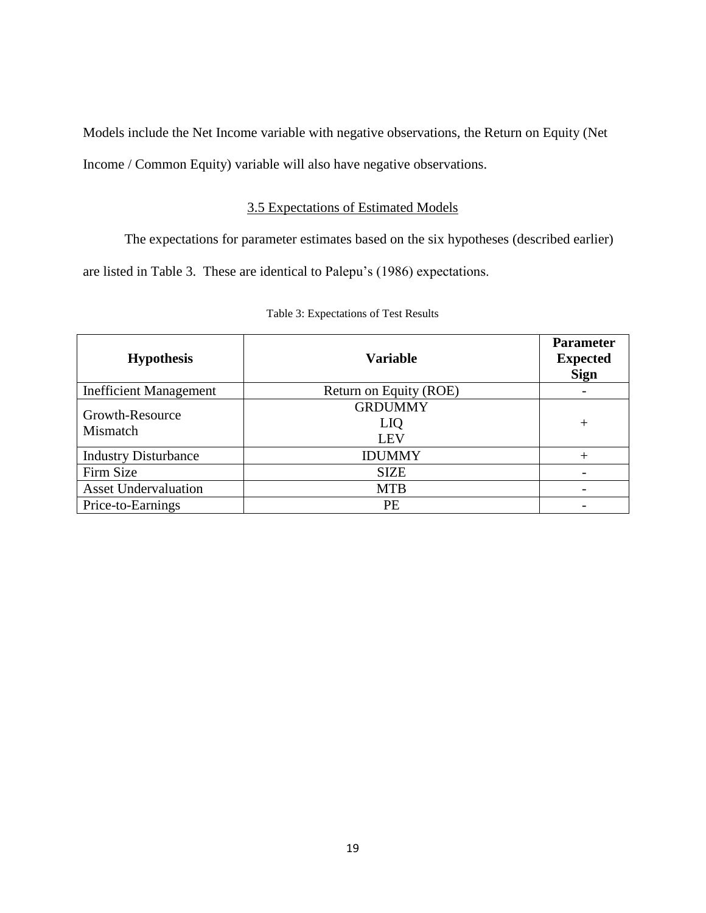Models include the Net Income variable with negative observations, the Return on Equity (Net Income / Common Equity) variable will also have negative observations.

# 3.5 Expectations of Estimated Models

<span id="page-25-0"></span>The expectations for parameter estimates based on the six hypotheses (described earlier) are listed in Table 3. These are identical to Palepu's (1986) expectations.

<span id="page-25-2"></span><span id="page-25-1"></span>

| <b>Hypothesis</b>             | <b>Variable</b>                     | <b>Parameter</b><br><b>Expected</b><br><b>Sign</b> |
|-------------------------------|-------------------------------------|----------------------------------------------------|
| <b>Inefficient Management</b> | Return on Equity (ROE)              |                                                    |
| Growth-Resource<br>Mismatch   | <b>GRDUMMY</b><br><b>LIQ</b><br>LEV | $^{+}$                                             |
| <b>Industry Disturbance</b>   | <b>IDUMMY</b>                       |                                                    |
| Firm Size                     | <b>SIZE</b>                         |                                                    |
| <b>Asset Undervaluation</b>   | <b>MTB</b>                          |                                                    |
| Price-to-Earnings             | PЕ                                  |                                                    |

|  | Table 3: Expectations of Test Results |
|--|---------------------------------------|
|--|---------------------------------------|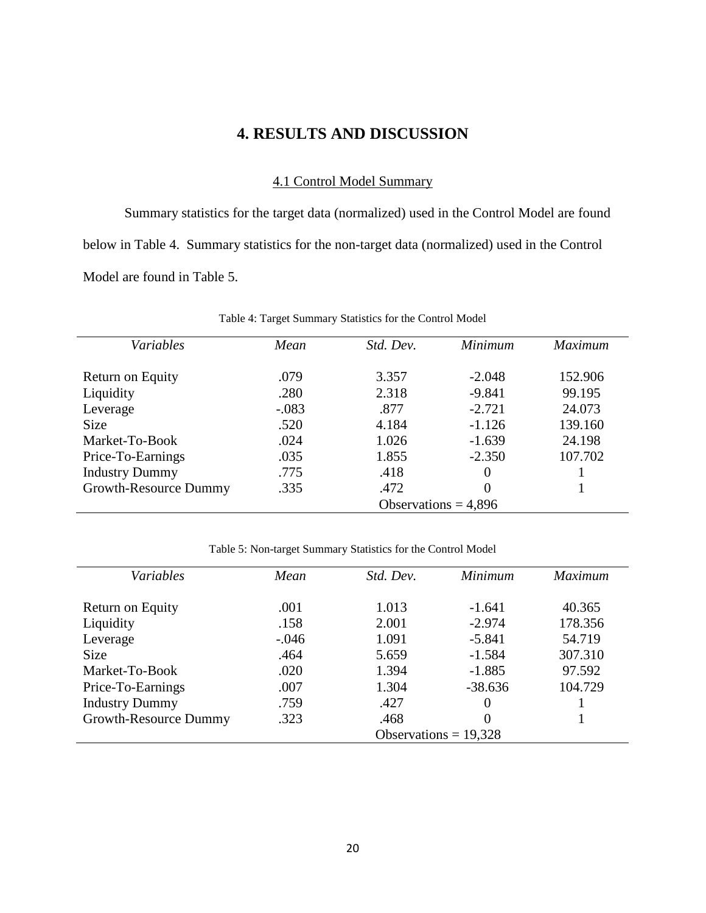# **4. RESULTS AND DISCUSSION**

## 4.1 Control Model Summary

<span id="page-26-0"></span>Summary statistics for the target data (normalized) used in the Control Model are found below in Table 4. Summary statistics for the non-target data (normalized) used in the Control Model are found in Table 5.

<span id="page-26-1"></span>

| Variables             | Mean                   | Std. Dev. | <b>Minimum</b> | <b>Maximum</b> |
|-----------------------|------------------------|-----------|----------------|----------------|
|                       |                        |           |                |                |
| Return on Equity      | .079                   | 3.357     | $-2.048$       | 152.906        |
| Liquidity             | .280                   | 2.318     | $-9.841$       | 99.195         |
| Leverage              | $-.083$                | .877      | $-2.721$       | 24.073         |
| <b>Size</b>           | .520                   | 4.184     | $-1.126$       | 139.160        |
| Market-To-Book        | .024                   | 1.026     | $-1.639$       | 24.198         |
| Price-To-Earnings     | .035                   | 1.855     | $-2.350$       | 107.702        |
| <b>Industry Dummy</b> | .775                   | .418      | 0              |                |
| Growth-Resource Dummy | .335                   | .472      | 0              |                |
|                       | Observations = $4,896$ |           |                |                |

Table 4: Target Summary Statistics for the Control Model

Table 5: Non-target Summary Statistics for the Control Model

<span id="page-26-2"></span>

| Variables             | Mean                    | Std. Dev. | Minimum   | <i>Maximum</i> |  |
|-----------------------|-------------------------|-----------|-----------|----------------|--|
| Return on Equity      | .001                    | 1.013     | $-1.641$  | 40.365         |  |
| Liquidity             | .158                    | 2.001     | $-2.974$  | 178.356        |  |
| Leverage              | $-.046$                 | 1.091     | $-5.841$  | 54.719         |  |
| <b>Size</b>           | .464                    | 5.659     | $-1.584$  | 307.310        |  |
| Market-To-Book        | .020                    | 1.394     | $-1.885$  | 97.592         |  |
| Price-To-Earnings     | .007                    | 1.304     | $-38.636$ | 104.729        |  |
| <b>Industry Dummy</b> | .759                    | .427      |           |                |  |
| Growth-Resource Dummy | .323                    | .468      |           |                |  |
|                       | Observations = $19,328$ |           |           |                |  |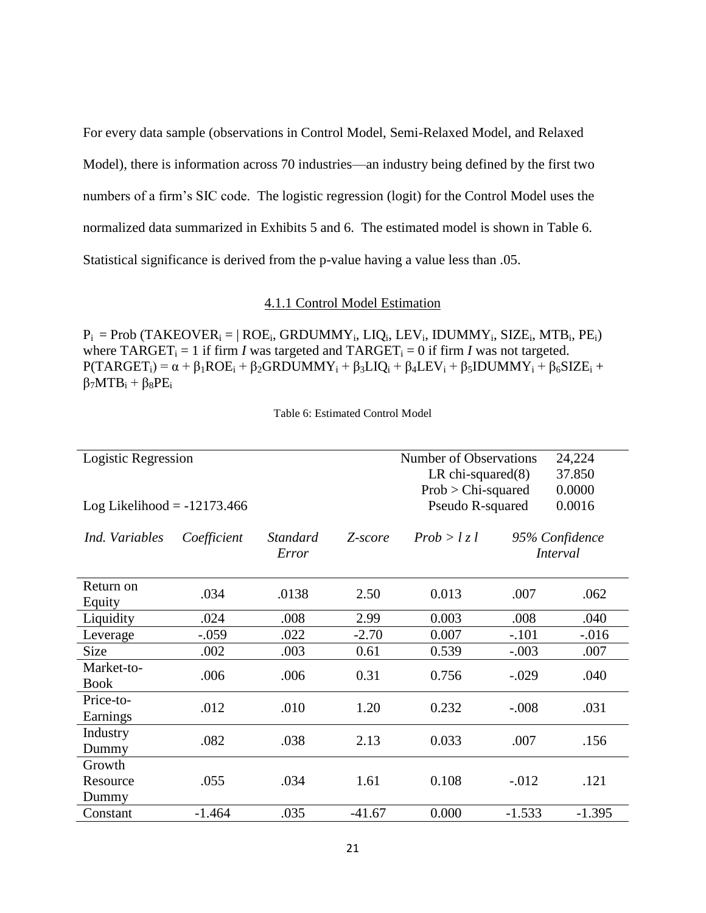For every data sample (observations in Control Model, Semi-Relaxed Model, and Relaxed Model), there is information across 70 industries—an industry being defined by the first two numbers of a firm's SIC code. The logistic regression (logit) for the Control Model uses the normalized data summarized in Exhibits 5 and 6. The estimated model is shown in Table 6. Statistical significance is derived from the p-value having a value less than .05.

#### 4.1.1 Control Model Estimation

<span id="page-27-0"></span> $P_i = Prob (TAKEOVER_i = | ROE_i, GRDUMMY_i, LIQ_i, LEV_i, IDUMMY_i, SIZE_i, MTB_i, PE_i)$ where  $TARGET_i = 1$  if firm *I* was targeted and  $TARGET_i = 0$  if firm *I* was not targeted.  $P(TARGET_i) = \alpha + \beta_1 ROE_i + \beta_2 GRDUMMY_i + \beta_3 LIQ_i + \beta_4 LEV_i + \beta_5 IDUMMY_i + \beta_6 SIZE_i +$  $\beta_7 M T B_i + \beta_8 P E_i$ 

Table 6: Estimated Control Model

<span id="page-27-1"></span>

| Logistic Regression<br><b>Number of Observations</b><br>24,224 |             |                 |                       |                      |          |                 |  |
|----------------------------------------------------------------|-------------|-----------------|-----------------------|----------------------|----------|-----------------|--|
|                                                                |             |                 |                       | LR chi-squared $(8)$ |          | 37.850          |  |
|                                                                |             |                 | $Prob > Chi$ -squared |                      | 0.0000   |                 |  |
| Pseudo R-squared<br>Log Likelihood = $-12173.466$              |             |                 |                       |                      |          | 0.0016          |  |
|                                                                |             |                 |                       |                      |          |                 |  |
| Ind. Variables                                                 | Coefficient | <b>Standard</b> | Z-score               | Prob > l z l         |          | 95% Confidence  |  |
|                                                                |             | Error           |                       |                      |          | <i>Interval</i> |  |
|                                                                |             |                 |                       |                      |          |                 |  |
| Return on                                                      | .034        | .0138           | 2.50                  | 0.013                | .007     | .062            |  |
| Equity                                                         |             |                 |                       |                      |          |                 |  |
| Liquidity                                                      | .024        | .008            | 2.99                  | 0.003                | .008     | .040            |  |
| Leverage                                                       | $-.059$     | .022            | $-2.70$               | 0.007                | $-.101$  | $-0.016$        |  |
| Size                                                           | .002        | .003            | 0.61                  | 0.539                | $-.003$  | .007            |  |
| Market-to-                                                     | .006        | .006            | 0.31                  | 0.756                | $-.029$  | .040            |  |
| <b>Book</b>                                                    |             |                 |                       |                      |          |                 |  |
| Price-to-                                                      | .012        | .010            | 1.20                  | 0.232                | $-.008$  | .031            |  |
| Earnings                                                       |             |                 |                       |                      |          |                 |  |
| Industry                                                       | .082        | .038            | 2.13                  | 0.033                | .007     | .156            |  |
| Dummy                                                          |             |                 |                       |                      |          |                 |  |
| Growth                                                         |             |                 |                       |                      |          |                 |  |
| Resource                                                       | .055        | .034            | 1.61                  | 0.108                | $-0.012$ | .121            |  |
| Dummy                                                          |             |                 |                       |                      |          |                 |  |
| Constant                                                       | $-1.464$    | .035            | $-41.67$              | 0.000                | $-1.533$ | $-1.395$        |  |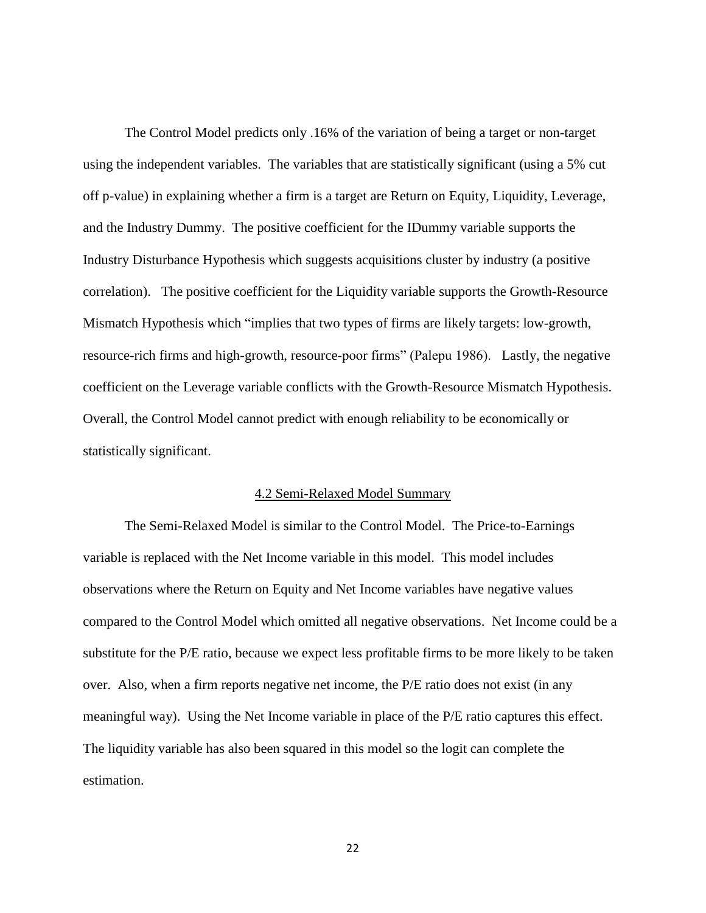The Control Model predicts only .16% of the variation of being a target or non-target using the independent variables. The variables that are statistically significant (using a 5% cut off p-value) in explaining whether a firm is a target are Return on Equity, Liquidity, Leverage, and the Industry Dummy. The positive coefficient for the IDummy variable supports the Industry Disturbance Hypothesis which suggests acquisitions cluster by industry (a positive correlation). The positive coefficient for the Liquidity variable supports the Growth-Resource Mismatch Hypothesis which "implies that two types of firms are likely targets: low-growth, resource-rich firms and high-growth, resource-poor firms" (Palepu 1986). Lastly, the negative coefficient on the Leverage variable conflicts with the Growth-Resource Mismatch Hypothesis. Overall, the Control Model cannot predict with enough reliability to be economically or statistically significant.

#### 4.2 Semi-Relaxed Model Summary

<span id="page-28-0"></span>The Semi-Relaxed Model is similar to the Control Model. The Price-to-Earnings variable is replaced with the Net Income variable in this model. This model includes observations where the Return on Equity and Net Income variables have negative values compared to the Control Model which omitted all negative observations. Net Income could be a substitute for the P/E ratio, because we expect less profitable firms to be more likely to be taken over. Also, when a firm reports negative net income, the P/E ratio does not exist (in any meaningful way). Using the Net Income variable in place of the P/E ratio captures this effect. The liquidity variable has also been squared in this model so the logit can complete the estimation.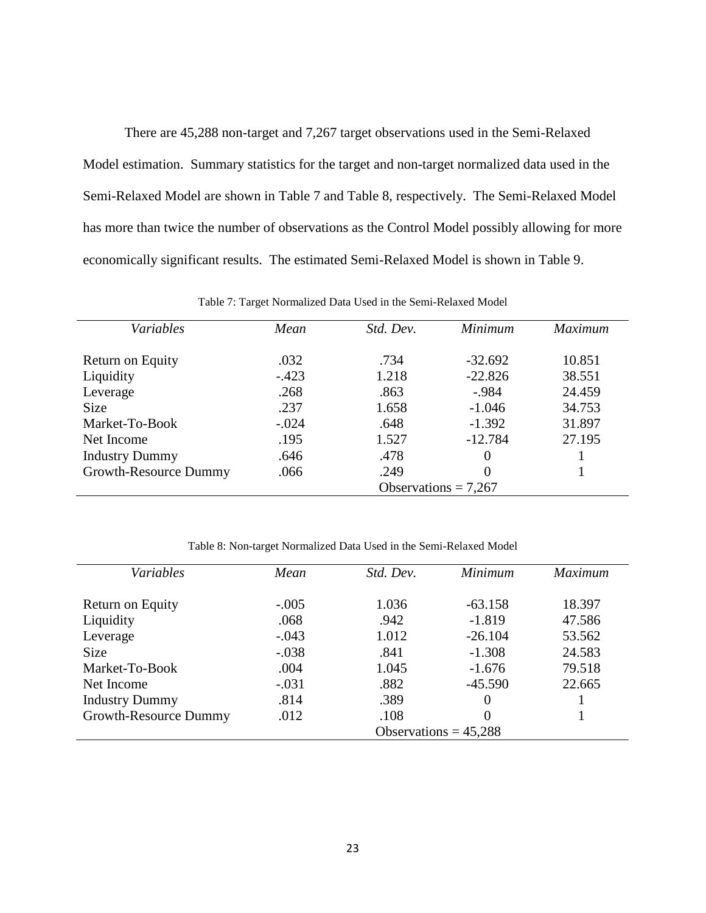There are 45,288 non-target and 7,267 target observations used in the Semi-Relaxed Model estimation. Summary statistics for the target and non-target normalized data used in the Semi-Relaxed Model are shown in Table 7 and Table 8, respectively. The Semi-Relaxed Model has more than twice the number of observations as the Control Model possibly allowing for more economically significant results. The estimated Semi-Relaxed Model is shown in Table 9.

<span id="page-29-0"></span>

| Variables             | Mean                   | Std. Dev. | <b>Minimum</b> | <b>Maximum</b> |
|-----------------------|------------------------|-----------|----------------|----------------|
| Return on Equity      | .032                   | .734      | $-32.692$      | 10.851         |
| Liquidity             | $-.423$                | 1.218     | $-22.826$      | 38.551         |
| Leverage              | .268                   | .863      | $-.984$        | 24.459         |
| <b>Size</b>           | .237                   | 1.658     | $-1.046$       | 34.753         |
| Market-To-Book        | $-.024$                | .648      | $-1.392$       | 31.897         |
| Net Income            | .195                   | 1.527     | $-12.784$      | 27.195         |
| <b>Industry Dummy</b> | .646                   | .478      | $\Omega$       |                |
| Growth-Resource Dummy | .066                   | .249      |                |                |
|                       | Observations = $7,267$ |           |                |                |

Table 7: Target Normalized Data Used in the Semi-Relaxed Model

Table 8: Non-target Normalized Data Used in the Semi-Relaxed Model

<span id="page-29-1"></span>

| Variables             | Mean                    | Std. Dev. | Minimum   | <i>Maximum</i> |
|-----------------------|-------------------------|-----------|-----------|----------------|
| Return on Equity      | $-.005$                 | 1.036     | $-63.158$ | 18.397         |
| Liquidity             | .068                    | .942      | $-1.819$  | 47.586         |
| Leverage              | $-.043$                 | 1.012     | $-26.104$ | 53.562         |
| <b>Size</b>           | $-.038$                 | .841      | $-1.308$  | 24.583         |
| Market-To-Book        | .004                    | 1.045     | $-1.676$  | 79.518         |
| Net Income            | $-.031$                 | .882      | $-45.590$ | 22.665         |
| <b>Industry Dummy</b> | .814                    | .389      | 0         |                |
| Growth-Resource Dummy | .012                    | .108      | 0         |                |
|                       | Observations = $45,288$ |           |           |                |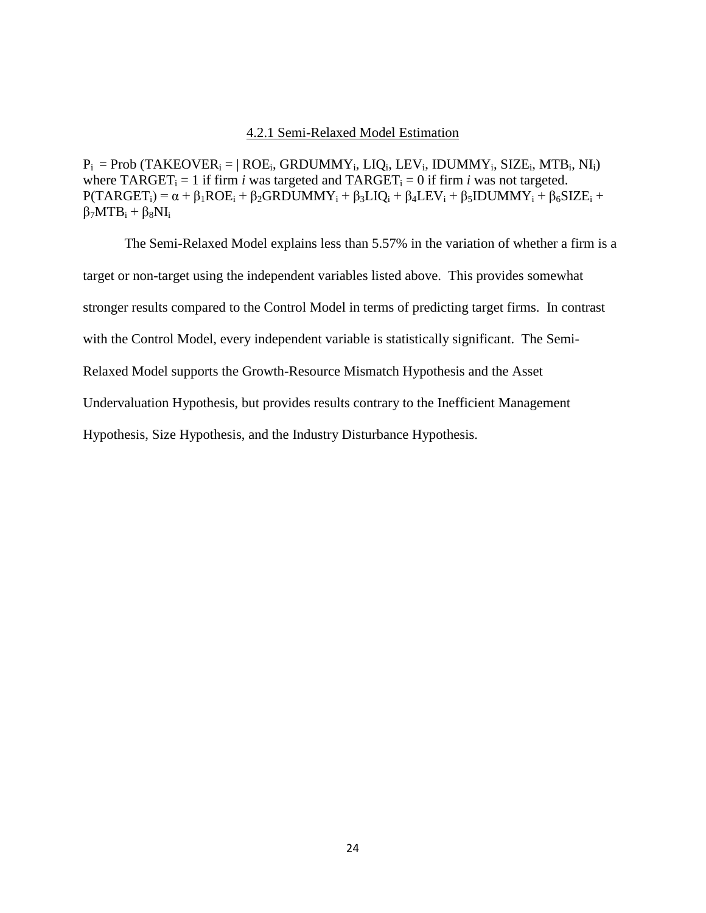#### 4.2.1 Semi-Relaxed Model Estimation

<span id="page-30-0"></span> $P_i = Prob (TAKEOVER_i = | ROE_i, GRDUMMY_i, LIQ_i, LEV_i, IDUMMY_i, SIZE_i, MTB_i, NI_i)$ where  $TARGE_{i} = 1$  if firm *i* was targeted and  $TARGE_{i} = 0$  if firm *i* was not targeted.  $P(TARGET_i) = \alpha + \beta_1 ROE_i + \beta_2 GRDUMMY_i + \beta_3 LIQ_i + \beta_4 LEV_i + \beta_5 IDUMMY_i + \beta_6 SIZE_i +$  $\beta_7 M T B_i + \beta_8 N I_i$ 

The Semi-Relaxed Model explains less than 5.57% in the variation of whether a firm is a target or non-target using the independent variables listed above. This provides somewhat stronger results compared to the Control Model in terms of predicting target firms. In contrast with the Control Model, every independent variable is statistically significant. The Semi-Relaxed Model supports the Growth-Resource Mismatch Hypothesis and the Asset Undervaluation Hypothesis, but provides results contrary to the Inefficient Management Hypothesis, Size Hypothesis, and the Industry Disturbance Hypothesis.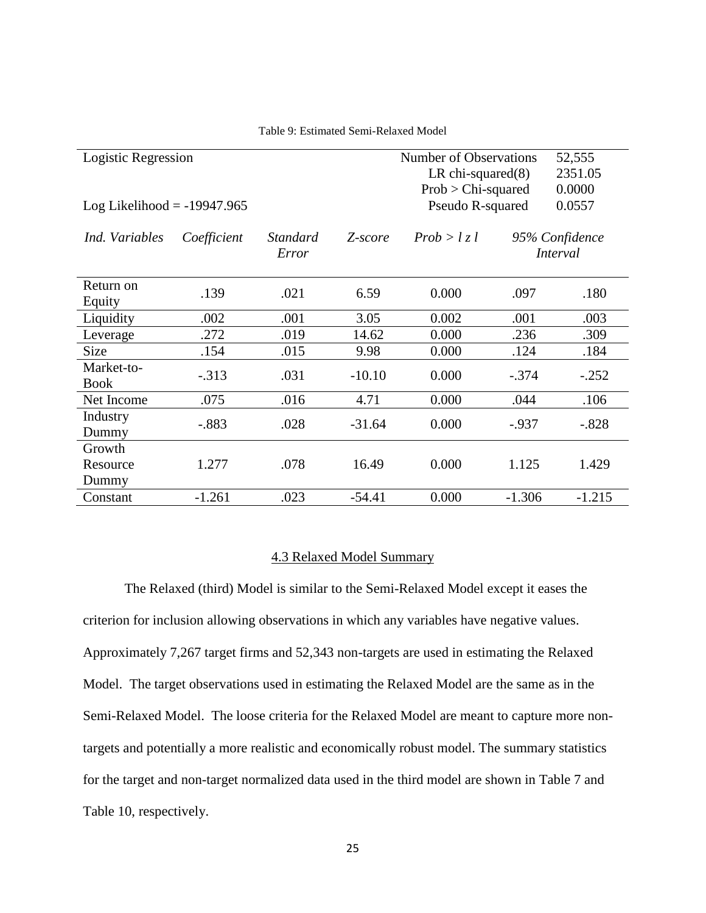<span id="page-31-1"></span>

| Logistic Regression           |             |                   |          | Number of Observations<br>LR chi-squared $(8)$<br>$Prob > Chi$ -squared |          | 52,555<br>2351.05<br>0.0000 |
|-------------------------------|-------------|-------------------|----------|-------------------------------------------------------------------------|----------|-----------------------------|
| Log Likelihood = $-19947.965$ |             |                   |          | Pseudo R-squared                                                        |          | 0.0557                      |
| Ind. Variables                | Coefficient | Standard<br>Error | Z-score  | Prob > l z l                                                            |          | 95% Confidence<br>Interval  |
| Return on<br>Equity           | .139        | .021              | 6.59     | 0.000                                                                   | .097     | .180                        |
| Liquidity                     | .002        | .001              | 3.05     | 0.002                                                                   | .001     | .003                        |
| Leverage                      | .272        | .019              | 14.62    | 0.000                                                                   | .236     | .309                        |
| Size                          | .154        | .015              | 9.98     | 0.000                                                                   | .124     | .184                        |
| Market-to-<br><b>Book</b>     | $-.313$     | .031              | $-10.10$ | 0.000                                                                   | $-.374$  | $-.252$                     |
| Net Income                    | .075        | .016              | 4.71     | 0.000                                                                   | .044     | .106                        |
| Industry<br>Dummy             | $-.883$     | .028              | $-31.64$ | 0.000                                                                   | $-0.937$ | $-.828$                     |
| Growth<br>Resource<br>Dummy   | 1.277       | .078              | 16.49    | 0.000                                                                   | 1.125    | 1.429                       |
| Constant                      | $-1.261$    | .023              | $-54.41$ | 0.000                                                                   | $-1.306$ | $-1.215$                    |

Table 9: Estimated Semi-Relaxed Model

#### 4.3 Relaxed Model Summary

<span id="page-31-0"></span>The Relaxed (third) Model is similar to the Semi-Relaxed Model except it eases the criterion for inclusion allowing observations in which any variables have negative values. Approximately 7,267 target firms and 52,343 non-targets are used in estimating the Relaxed Model. The target observations used in estimating the Relaxed Model are the same as in the Semi-Relaxed Model. The loose criteria for the Relaxed Model are meant to capture more nontargets and potentially a more realistic and economically robust model. The summary statistics for the target and non-target normalized data used in the third model are shown in Table 7 and Table 10, respectively.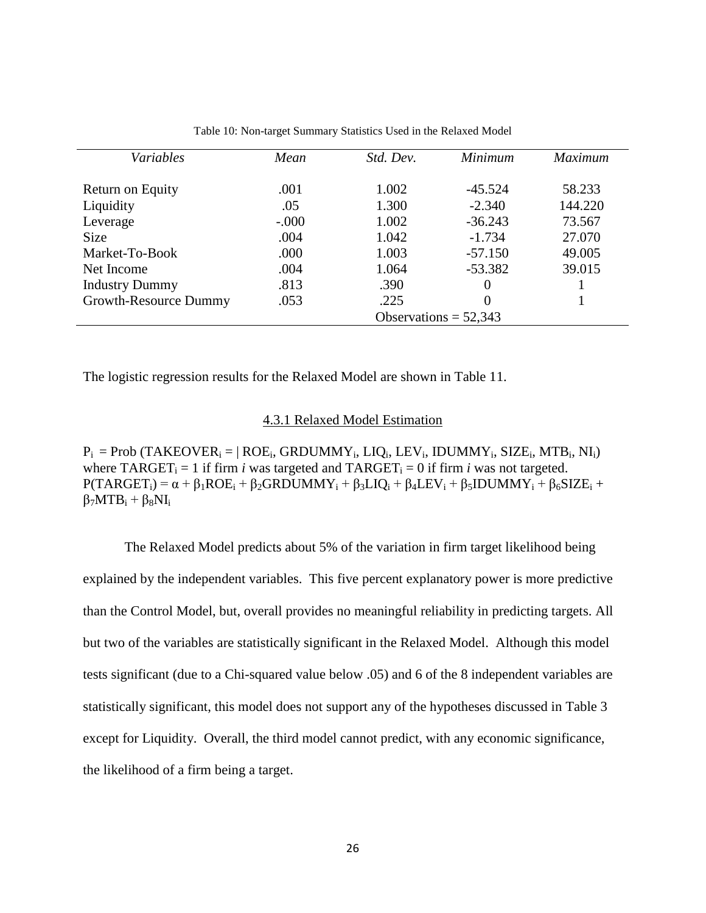<span id="page-32-1"></span>

| Variables             | Mean                    | Std. Dev. | Minimum   | <b>Maximum</b> |  |
|-----------------------|-------------------------|-----------|-----------|----------------|--|
| Return on Equity      | .001                    | 1.002     | $-45.524$ | 58.233         |  |
| Liquidity             | .05                     | 1.300     | $-2.340$  | 144.220        |  |
| Leverage              | $-.000$                 | 1.002     | $-36.243$ | 73.567         |  |
| <b>Size</b>           | .004                    | 1.042     | $-1.734$  | 27.070         |  |
| Market-To-Book        | .000                    | 1.003     | $-57.150$ | 49.005         |  |
| Net Income            | .004                    | 1.064     | $-53.382$ | 39.015         |  |
| <b>Industry Dummy</b> | .813                    | .390      | $\theta$  |                |  |
| Growth-Resource Dummy | .053                    | .225      | $\theta$  |                |  |
|                       | Observations = $52,343$ |           |           |                |  |

Table 10: Non-target Summary Statistics Used in the Relaxed Model

The logistic regression results for the Relaxed Model are shown in Table 11.

#### 4.3.1 Relaxed Model Estimation

<span id="page-32-0"></span> $P_i = Prob (TAKEOVER_i = | ROE_i, GRDUMMY_i, LIQ_i, LEV_i, IDUMMY_i, SIZE_i, MTB_i, NI_i)$ where  $TARGET_i = 1$  if firm *i* was targeted and  $TARGET_i = 0$  if firm *i* was not targeted.  $P(TARGET_i) = \alpha + \beta_1 ROE_i + \beta_2 GRDUMMY_i + \beta_3 LIQ_i + \beta_4 LEV_i + \beta_5 IDUMMY_i + \beta_6 SIZE_i +$  $\beta_7 M T B_i + \beta_8 N I_i$ 

The Relaxed Model predicts about 5% of the variation in firm target likelihood being explained by the independent variables. This five percent explanatory power is more predictive than the Control Model, but, overall provides no meaningful reliability in predicting targets. All but two of the variables are statistically significant in the Relaxed Model. Although this model tests significant (due to a Chi-squared value below .05) and 6 of the 8 independent variables are statistically significant, this model does not support any of the hypotheses discussed in Table 3 except for Liquidity. Overall, the third model cannot predict, with any economic significance, the likelihood of a firm being a target.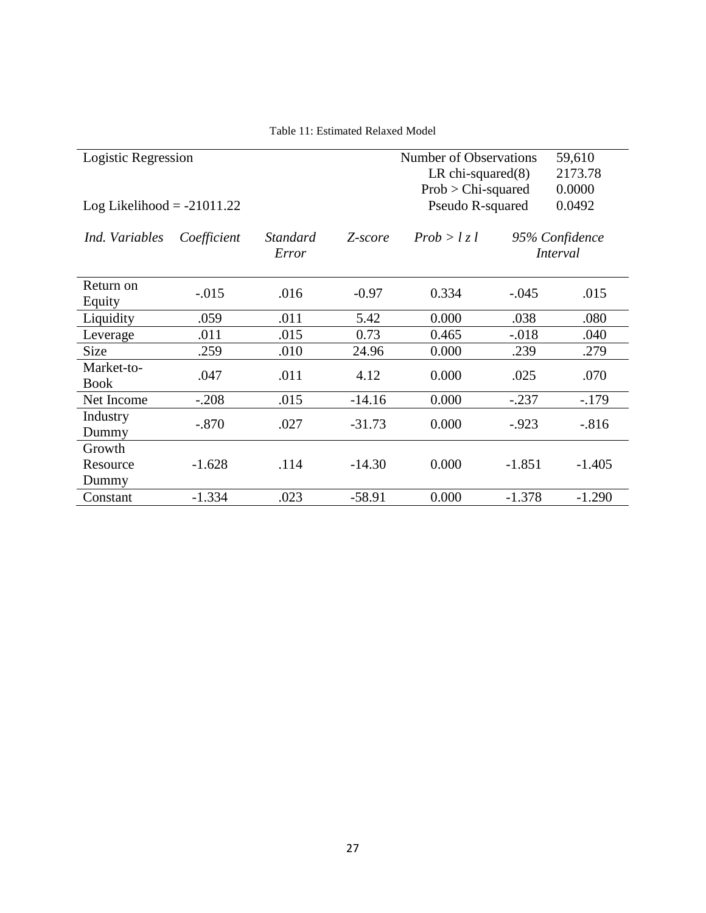<span id="page-33-0"></span>

| Logistic Regression          |             |                          |          | Number of Observations<br>LR chi-squared $(8)$<br>$Prob > Chi$ -squared |          | 59,610<br>2173.78<br>0.0000       |
|------------------------------|-------------|--------------------------|----------|-------------------------------------------------------------------------|----------|-----------------------------------|
| Log Likelihood = $-21011.22$ |             |                          |          | Pseudo R-squared                                                        |          | 0.0492                            |
| Ind. Variables               | Coefficient | <b>Standard</b><br>Error | Z-score  | Prob > l z l                                                            |          | 95% Confidence<br><i>Interval</i> |
| Return on<br>Equity          | $-.015$     | .016                     | $-0.97$  | 0.334                                                                   | $-.045$  | .015                              |
| Liquidity                    | .059        | .011                     | 5.42     | 0.000                                                                   | .038     | .080                              |
| Leverage                     | .011        | .015                     | 0.73     | 0.465                                                                   | $-.018$  | .040                              |
| <b>Size</b>                  | .259        | .010                     | 24.96    | 0.000                                                                   | .239     | .279                              |
| Market-to-<br><b>Book</b>    | .047        | .011                     | 4.12     | 0.000                                                                   | .025     | .070                              |
| Net Income                   | $-.208$     | .015                     | $-14.16$ | 0.000                                                                   | $-.237$  | $-.179$                           |
| Industry<br>Dummy            | $-.870$     | .027                     | $-31.73$ | 0.000                                                                   | $-0.923$ | $-0.816$                          |
| Growth                       |             |                          |          |                                                                         |          |                                   |
| Resource                     | $-1.628$    | .114                     | $-14.30$ | 0.000                                                                   | $-1.851$ | $-1.405$                          |
| Dummy                        |             |                          |          |                                                                         |          |                                   |
| Constant                     | $-1.334$    | .023                     | $-58.91$ | 0.000                                                                   | $-1.378$ | $-1.290$                          |

Table 11: Estimated Relaxed Model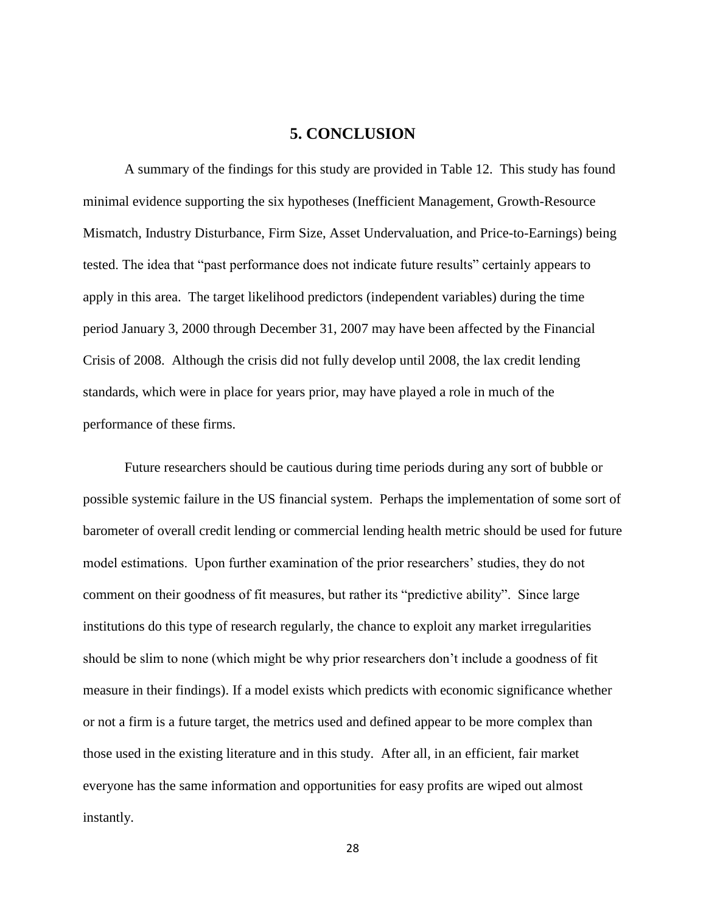## **5. CONCLUSION**

<span id="page-34-0"></span>A summary of the findings for this study are provided in Table 12. This study has found minimal evidence supporting the six hypotheses (Inefficient Management, Growth-Resource Mismatch, Industry Disturbance, Firm Size, Asset Undervaluation, and Price-to-Earnings) being tested. The idea that "past performance does not indicate future results" certainly appears to apply in this area. The target likelihood predictors (independent variables) during the time period January 3, 2000 through December 31, 2007 may have been affected by the Financial Crisis of 2008. Although the crisis did not fully develop until 2008, the lax credit lending standards, which were in place for years prior, may have played a role in much of the performance of these firms.

Future researchers should be cautious during time periods during any sort of bubble or possible systemic failure in the US financial system. Perhaps the implementation of some sort of barometer of overall credit lending or commercial lending health metric should be used for future model estimations. Upon further examination of the prior researchers' studies, they do not comment on their goodness of fit measures, but rather its "predictive ability". Since large institutions do this type of research regularly, the chance to exploit any market irregularities should be slim to none (which might be why prior researchers don't include a goodness of fit measure in their findings). If a model exists which predicts with economic significance whether or not a firm is a future target, the metrics used and defined appear to be more complex than those used in the existing literature and in this study. After all, in an efficient, fair market everyone has the same information and opportunities for easy profits are wiped out almost instantly.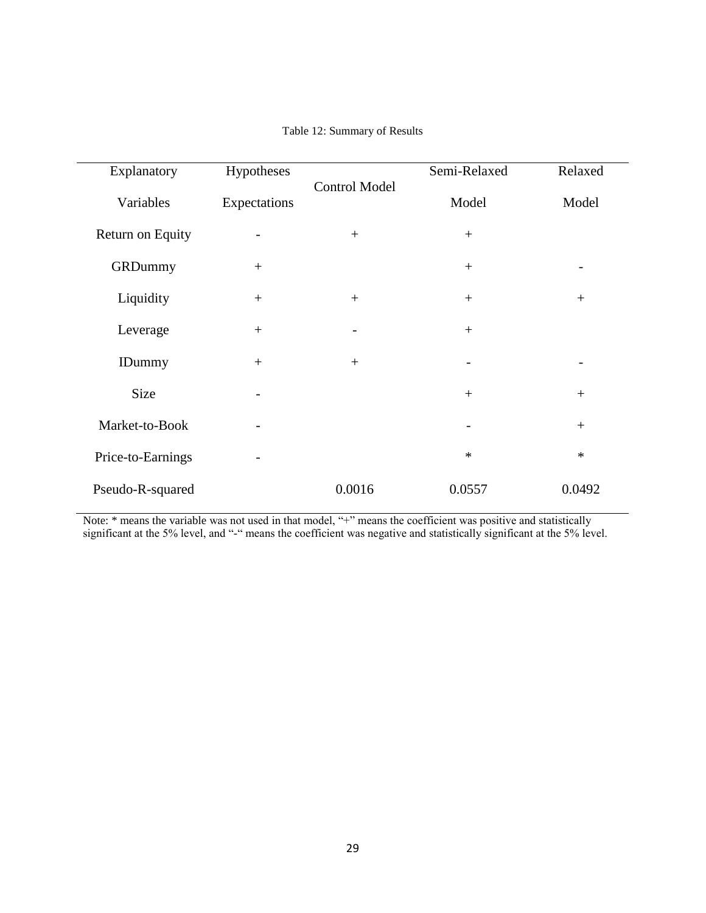<span id="page-35-0"></span>

| Explanatory       | Hypotheses               |                          | Semi-Relaxed | Relaxed |
|-------------------|--------------------------|--------------------------|--------------|---------|
| Variables         | Expectations             | <b>Control Model</b>     | Model        | Model   |
| Return on Equity  | $\overline{\phantom{0}}$ | $^{+}$                   | $+$          |         |
| GRDummy           | $^{+}$                   |                          | $+$          |         |
| Liquidity         | $^{+}$                   |                          | $+$          | $+$     |
| Leverage          |                          | $\overline{\phantom{a}}$ | $+$          |         |
| <b>IDummy</b>     | $+$                      | $^{+}$                   |              |         |
| Size              | $\overline{\phantom{a}}$ |                          | $+$          | $+$     |
| Market-to-Book    |                          |                          |              | $+$     |
| Price-to-Earnings |                          |                          | $\ast$       | $\ast$  |
| Pseudo-R-squared  |                          | 0.0016                   | 0.0557       | 0.0492  |

#### Table 12: Summary of Results

Note: \* means the variable was not used in that model, "+" means the coefficient was positive and statistically significant at the 5% level, and "-" means the coefficient was negative and statistically significant at the 5% level.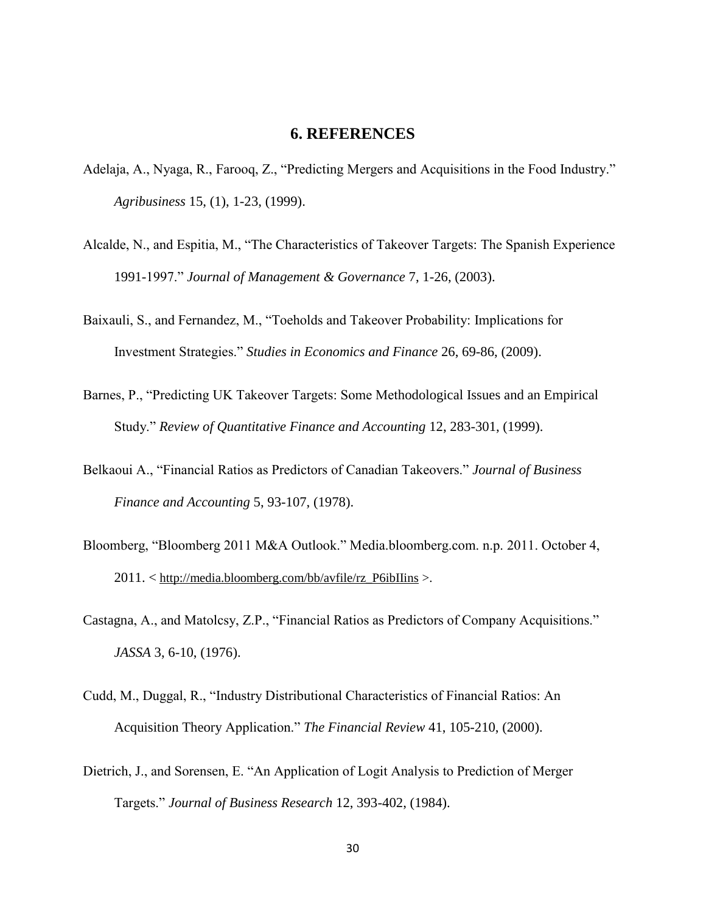## **6. REFERENCES**

- <span id="page-36-0"></span>Adelaja, A., Nyaga, R., Farooq, Z., "Predicting Mergers and Acquisitions in the Food Industry." *Agribusiness* 15, (1), 1-23, (1999).
- Alcalde, N., and Espitia, M., "The Characteristics of Takeover Targets: The Spanish Experience 1991-1997.‖ *Journal of Management & Governance* 7, 1-26, (2003).
- Baixauli, S., and Fernandez, M., "Toeholds and Takeover Probability: Implications for Investment Strategies.‖ *Studies in Economics and Finance* 26, 69-86, (2009).
- Barnes, P., "Predicting UK Takeover Targets: Some Methodological Issues and an Empirical Study.‖ *Review of Quantitative Finance and Accounting* 12, 283-301, (1999).
- Belkaoui A., "Financial Ratios as Predictors of Canadian Takeovers." *Journal of Business Finance and Accounting* 5, 93-107, (1978).
- Bloomberg, "Bloomberg 2011 M&A Outlook." Media.bloomberg.com. n.p. 2011. October 4, 2011. < [http://media.bloomberg.com/bb/avfile/rz\\_P6ibIIins](http://media.bloomberg.com/bb/avfile/rz_P6ibIIins) >.
- Castagna, A., and Matolcsy, Z.P., "Financial Ratios as Predictors of Company Acquisitions." *JASSA* 3, 6-10, (1976).
- Cudd, M., Duggal, R., "Industry Distributional Characteristics of Financial Ratios: An Acquisition Theory Application.‖ *The Financial Review* 41, 105-210, (2000).
- Dietrich, J., and Sorensen, E. "An Application of Logit Analysis to Prediction of Merger Targets.‖ *Journal of Business Research* 12, 393-402, (1984).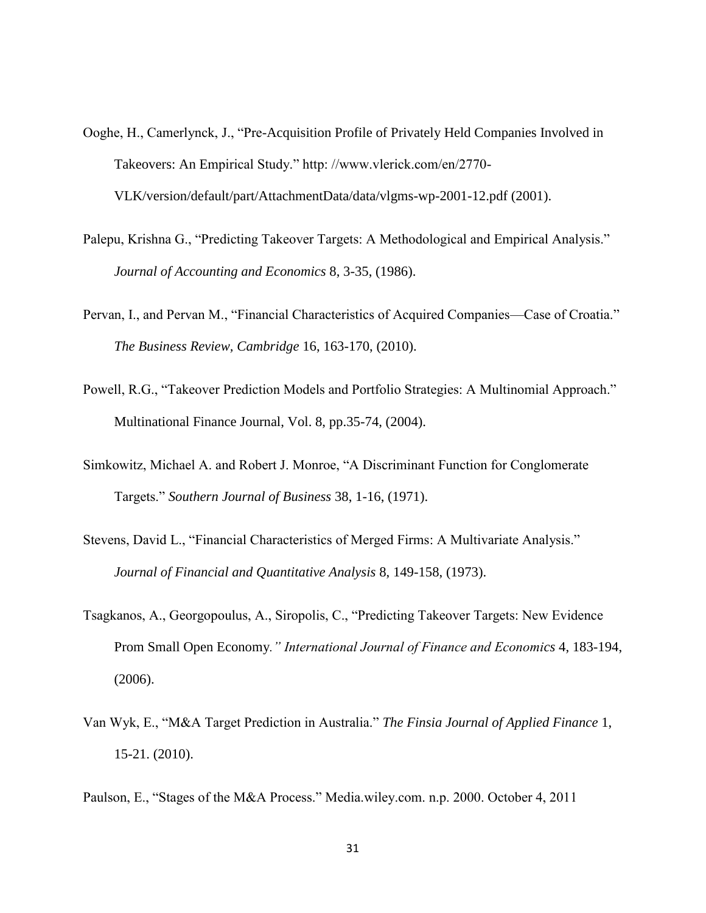- Ooghe, H., Camerlynck, J., "Pre-Acquisition Profile of Privately Held Companies Involved in Takeovers: An Empirical Study." http://www.vlerick.com/en/2770-VLK/version/default/part/AttachmentData/data/vlgms-wp-2001-12.pdf (2001).
- Palepu, Krishna G., "Predicting Takeover Targets: A Methodological and Empirical Analysis." *Journal of Accounting and Economics* 8, 3-35, (1986).
- Pervan, I., and Pervan M., "Financial Characteristics of Acquired Companies—Case of Croatia." *The Business Review, Cambridge* 16, 163-170, (2010).
- Powell, R.G., "Takeover Prediction Models and Portfolio Strategies: A Multinomial Approach." Multinational Finance Journal, Vol. 8, pp.35-74, (2004).
- Simkowitz, Michael A. and Robert J. Monroe, "A Discriminant Function for Conglomerate Targets.‖ *Southern Journal of Business* 38, 1-16, (1971).
- Stevens, David L., "Financial Characteristics of Merged Firms: A Multivariate Analysis." *Journal of Financial and Quantitative Analysis* 8, 149-158, (1973).
- Tsagkanos, A., Georgopoulus, A., Siropolis, C., "Predicting Takeover Targets: New Evidence Prom Small Open Economy*." International Journal of Finance and Economics* 4, 183-194, (2006).
- Van Wyk, E., "M&A Target Prediction in Australia." The Finsia Journal of Applied Finance 1, 15-21. (2010).

Paulson, E., "Stages of the M&A Process." Media.wiley.com. n.p. 2000. October 4, 2011